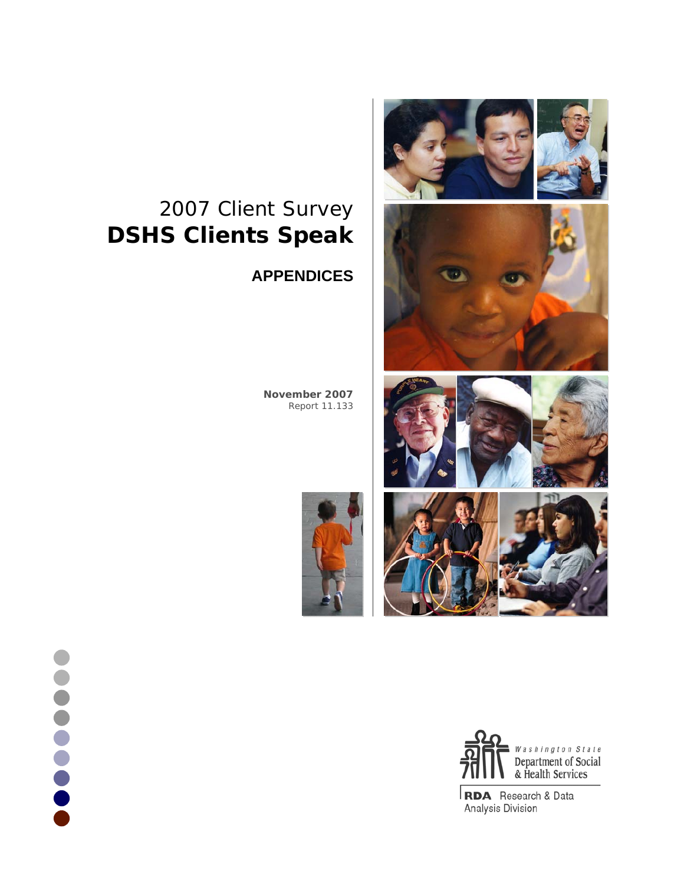

# 2007 Client Survey **DSHS Clients Speak**

# **APPENDICES**

**November 2007** Report 11.133





RDA Research & Data Analysis Division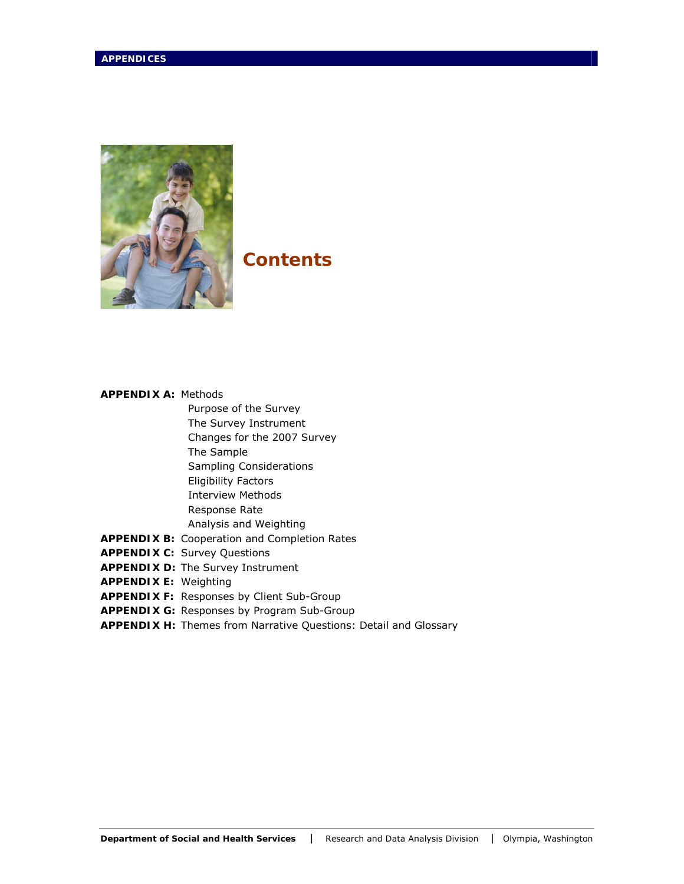

## **Contents**

## **APPENDIX A:** Methods

- Purpose of the Survey The Survey Instrument
- Changes for the 2007 Survey
- The Sample
- Sampling Considerations
- Eligibility Factors
- Interview Methods
- Response Rate
- Analysis and Weighting
- **APPENDIX B:** Cooperation and Completion Rates
- **APPENDIX C:** Survey Questions
- **APPENDIX D:** The Survey Instrument
- **APPENDIX E:** Weighting
- **APPENDIX F:** Responses by Client Sub-Group
- **APPENDIX G:** Responses by Program Sub-Group
- **APPENDIX H:** Themes from Narrative Questions: Detail and Glossary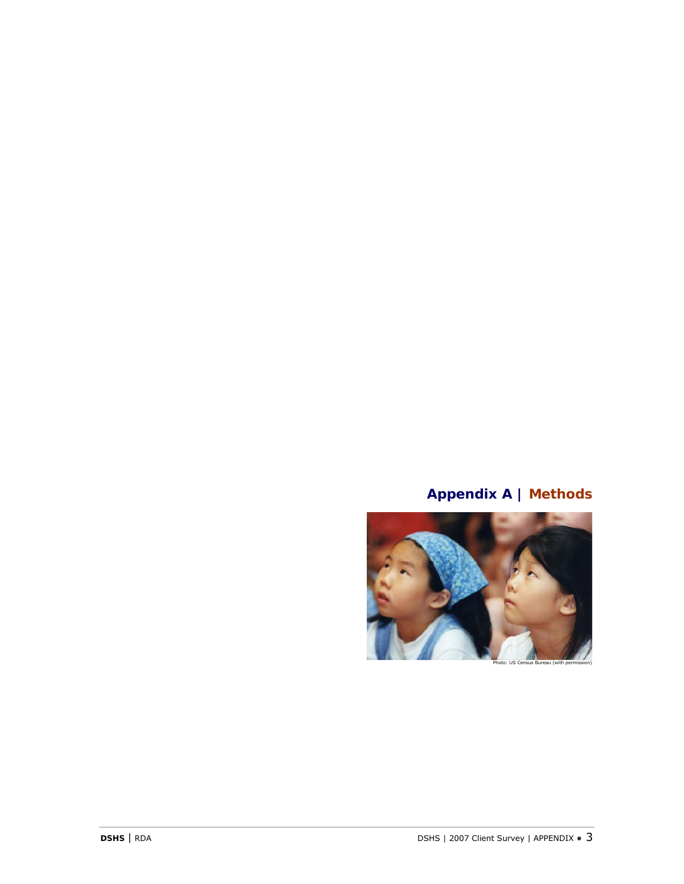# **Appendix A | Methods**

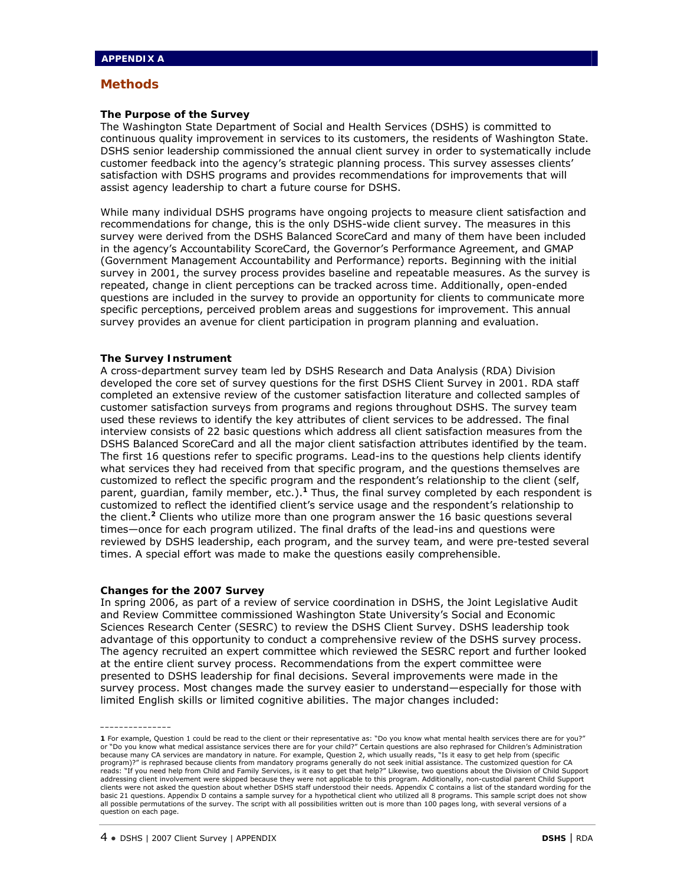#### **The Purpose of the Survey**

The Washington State Department of Social and Health Services (DSHS) is committed to continuous quality improvement in services to its customers, the residents of Washington State. DSHS senior leadership commissioned the annual client survey in order to systematically include customer feedback into the agency's strategic planning process. This survey assesses clients' satisfaction with DSHS programs and provides recommendations for improvements that will assist agency leadership to chart a future course for DSHS.

While many individual DSHS programs have ongoing projects to measure client satisfaction and recommendations for change, this is the only DSHS-wide client survey. The measures in this survey were derived from the DSHS Balanced ScoreCard and many of them have been included in the agency's Accountability ScoreCard, the Governor's Performance Agreement, and GMAP (Government Management Accountability and Performance) reports. Beginning with the initial survey in 2001, the survey process provides baseline and repeatable measures. As the survey is repeated, change in client perceptions can be tracked across time. Additionally, open-ended questions are included in the survey to provide an opportunity for clients to communicate more specific perceptions, perceived problem areas and suggestions for improvement. This annual survey provides an avenue for client participation in program planning and evaluation.

#### **The Survey Instrument**

A cross-department survey team led by DSHS Research and Data Analysis (RDA) Division developed the core set of survey questions for the first DSHS Client Survey in 2001. RDA staff completed an extensive review of the customer satisfaction literature and collected samples of customer satisfaction surveys from programs and regions throughout DSHS. The survey team used these reviews to identify the key attributes of client services to be addressed. The final interview consists of 22 basic questions which address all client satisfaction measures from the DSHS Balanced ScoreCard and all the major client satisfaction attributes identified by the team. The first 16 questions refer to specific programs. Lead-ins to the questions help clients identify what services they had received from that specific program, and the questions themselves are customized to reflect the specific program and the respondent's relationship to the client (self, parent, guardian, family member, etc.).**<sup>1</sup>** Thus, the final survey completed by each respondent is customized to reflect the identified client's service usage and the respondent's relationship to the client.*<sup>2</sup>* Clients who utilize more than one program answer the 16 basic questions several times—once for each program utilized. The final drafts of the lead-ins and questions were reviewed by DSHS leadership, each program, and the survey team, and were pre-tested several times. A special effort was made to make the questions easily comprehensible.

#### **Changes for the 2007 Survey**

**\_\_\_\_\_\_\_\_\_\_\_\_\_\_\_** 

In spring 2006, as part of a review of service coordination in DSHS, the Joint Legislative Audit and Review Committee commissioned Washington State University's Social and Economic Sciences Research Center (SESRC) to review the DSHS Client Survey. DSHS leadership took advantage of this opportunity to conduct a comprehensive review of the DSHS survey process. The agency recruited an expert committee which reviewed the SESRC report and further looked at the entire client survey process. Recommendations from the expert committee were presented to DSHS leadership for final decisions. Several improvements were made in the survey process. Most changes made the survey easier to understand—especially for those with limited English skills or limited cognitive abilities. The major changes included:

**<sup>1</sup>** For example, Question 1 could be read to the client or their representative as: "Do you know what mental health services there are for you?" or "Do you know what medical assistance services there are for your child?" Certain questions are also rephrased for Children's Administration because many CA services are mandatory in nature. For example, Question 2, which usually reads, "Is it easy to get help from (specific program)?" is rephrased because clients from mandatory programs generally do not seek initial assistance. The customized question for CA reads: "If you need help from Child and Family Services, is it easy to get that help?" Likewise, two questions about the Division of Child Support addressing client involvement were skipped because they were not applicable to this program. Additionally, non-custodial parent Child Support<br>clients were not asked the question about whether DSHS staff understood their ne basic 21 questions. Appendix D contains a sample survey for a hypothetical client who utilized all 8 programs. This sample script does not show all possible permutations of the survey. The script with all possibilities written out is more than 100 pages long, with several versions of a question on each page.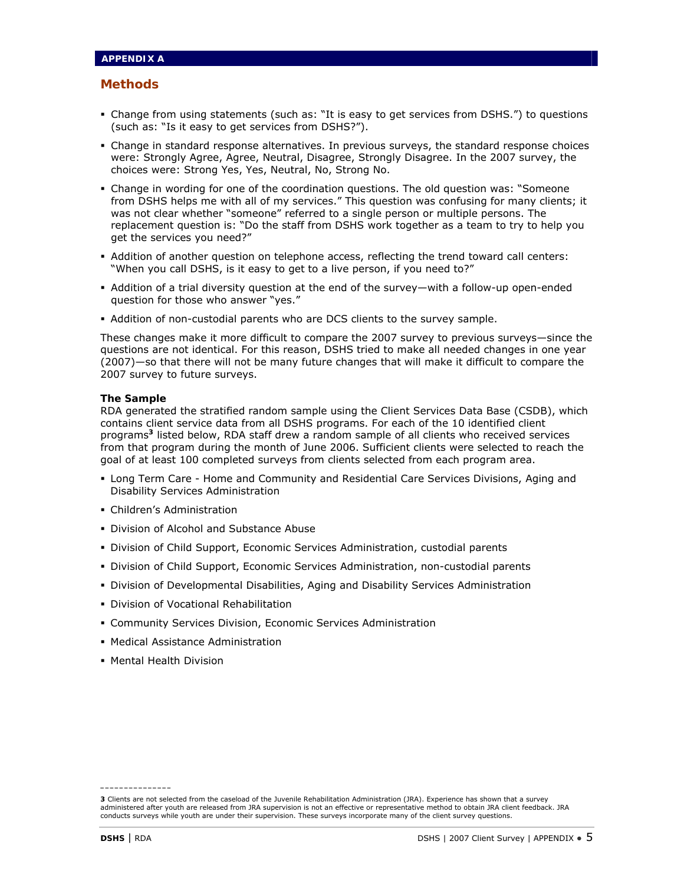- Change from using statements (such as: "It is easy to get services from DSHS.") to questions (such as: "Is it easy to get services from DSHS?").
- Change in standard response alternatives. In previous surveys, the standard response choices were: Strongly Agree, Agree, Neutral, Disagree, Strongly Disagree. In the 2007 survey, the choices were: Strong Yes, Yes, Neutral, No, Strong No.
- Change in wording for one of the coordination questions. The old question was: "Someone from DSHS helps me with all of my services." This question was confusing for many clients; it was not clear whether "someone" referred to a single person or multiple persons. The replacement question is: "Do the staff from DSHS work together as a team to try to help you get the services you need?"
- Addition of another question on telephone access, reflecting the trend toward call centers: "When you call DSHS, is it easy to get to a live person, if you need to?"
- Addition of a trial diversity question at the end of the survey—with a follow-up open-ended question for those who answer "yes."
- Addition of non-custodial parents who are DCS clients to the survey sample.

These changes make it more difficult to compare the 2007 survey to previous surveys—since the questions are not identical. For this reason, DSHS tried to make all needed changes in one year (2007)—so that there will not be many future changes that will make it difficult to compare the 2007 survey to future surveys.

#### **The Sample**

RDA generated the stratified random sample using the Client Services Data Base (CSDB), which contains client service data from all DSHS programs. For each of the 10 identified client programs**<sup>3</sup>** listed below, RDA staff drew a random sample of all clients who received services from that program during the month of June 2006. Sufficient clients were selected to reach the goal of at least 100 completed surveys from clients selected from each program area.

- Long Term Care Home and Community and Residential Care Services Divisions, Aging and Disability Services Administration
- Children's Administration
- **Division of Alcohol and Substance Abuse**
- **Division of Child Support, Economic Services Administration, custodial parents**
- Division of Child Support, Economic Services Administration, non-custodial parents
- **Division of Developmental Disabilities, Aging and Disability Services Administration**
- Division of Vocational Rehabilitation
- Community Services Division, Economic Services Administration
- Medical Assistance Administration
- Mental Health Division

**\_\_\_\_\_\_\_\_\_\_\_\_\_\_\_** 

**<sup>3</sup>** Clients are not selected from the caseload of the Juvenile Rehabilitation Administration (JRA). Experience has shown that a survey administered after youth are released from JRA supervision is not an effective or representative method to obtain JRA client feedback. JRA conducts surveys while youth are under their supervision. These surveys incorporate many of the client survey questions.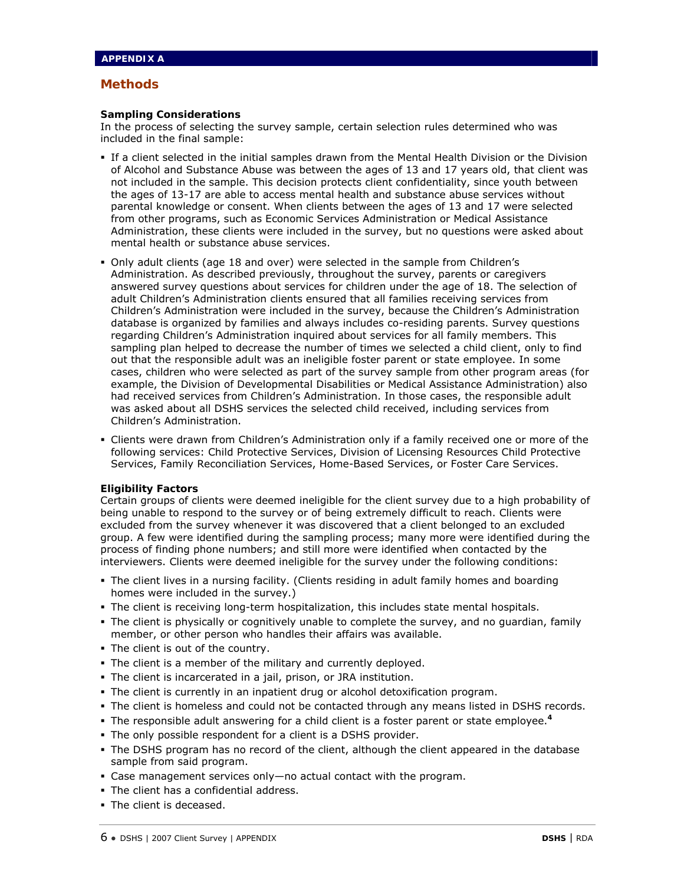#### **Sampling Considerations**

In the process of selecting the survey sample, certain selection rules determined who was included in the final sample:

- If a client selected in the initial samples drawn from the Mental Health Division or the Division of Alcohol and Substance Abuse was between the ages of 13 and 17 years old, that client was not included in the sample. This decision protects client confidentiality, since youth between the ages of 13-17 are able to access mental health and substance abuse services without parental knowledge or consent. When clients between the ages of 13 and 17 were selected from other programs, such as Economic Services Administration or Medical Assistance Administration, these clients were included in the survey, but no questions were asked about mental health or substance abuse services.
- Only adult clients (age 18 and over) were selected in the sample from Children's Administration. As described previously, throughout the survey, parents or caregivers answered survey questions about services for children under the age of 18. The selection of adult Children's Administration clients ensured that all families receiving services from Children's Administration were included in the survey, because the Children's Administration database is organized by families and always includes co-residing parents. Survey questions regarding Children's Administration inquired about services for all family members. This sampling plan helped to decrease the number of times we selected a child client, only to find out that the responsible adult was an ineligible foster parent or state employee. In some cases, children who were selected as part of the survey sample from other program areas (for example, the Division of Developmental Disabilities or Medical Assistance Administration) also had received services from Children's Administration. In those cases, the responsible adult was asked about all DSHS services the selected child received, including services from Children's Administration.
- Clients were drawn from Children's Administration only if a family received one or more of the following services: Child Protective Services, Division of Licensing Resources Child Protective Services, Family Reconciliation Services, Home-Based Services, or Foster Care Services.

#### **Eligibility Factors**

Certain groups of clients were deemed ineligible for the client survey due to a high probability of being unable to respond to the survey or of being extremely difficult to reach. Clients were excluded from the survey whenever it was discovered that a client belonged to an excluded group. A few were identified during the sampling process; many more were identified during the process of finding phone numbers; and still more were identified when contacted by the interviewers. Clients were deemed ineligible for the survey under the following conditions:

- The client lives in a nursing facility. (Clients residing in adult family homes and boarding homes were included in the survey.)
- The client is receiving long-term hospitalization, this includes state mental hospitals.
- The client is physically or cognitively unable to complete the survey, and no guardian, family member, or other person who handles their affairs was available.
- The client is out of the country.
- The client is a member of the military and currently deployed.
- The client is incarcerated in a jail, prison, or JRA institution.
- The client is currently in an inpatient drug or alcohol detoxification program.
- The client is homeless and could not be contacted through any means listed in DSHS records.
- The responsible adult answering for a child client is a foster parent or state employee.**<sup>4</sup>**
- The only possible respondent for a client is a DSHS provider.
- The DSHS program has no record of the client, although the client appeared in the database sample from said program.
- Case management services only—no actual contact with the program.
- The client has a confidential address.
- The client is deceased.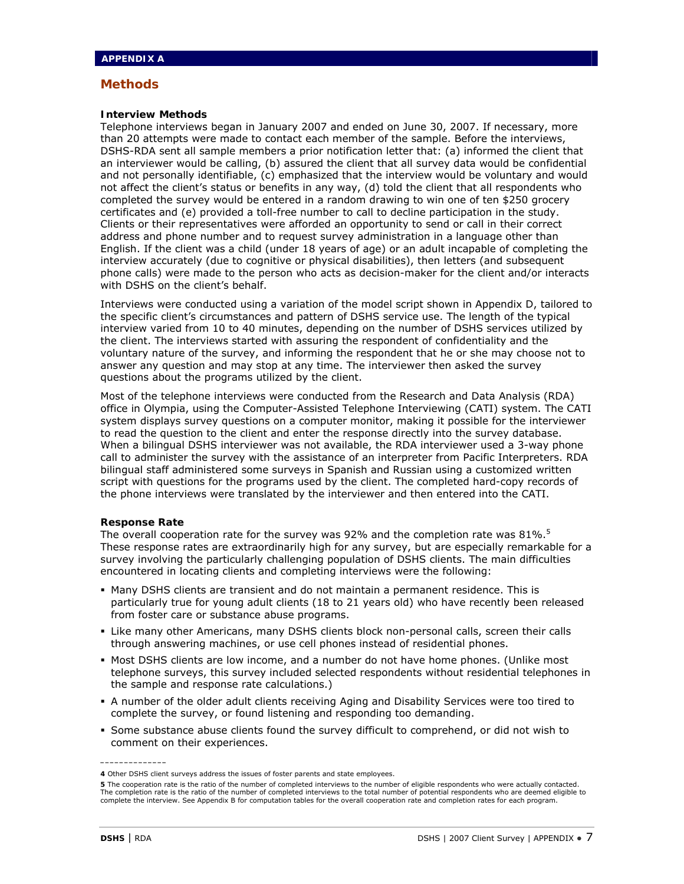#### **Interview Methods**

Telephone interviews began in January 2007 and ended on June 30, 2007. If necessary, more than 20 attempts were made to contact each member of the sample. Before the interviews, DSHS-RDA sent all sample members a prior notification letter that: (a) informed the client that an interviewer would be calling, (b) assured the client that all survey data would be confidential and not personally identifiable, (c) emphasized that the interview would be voluntary and would not affect the client's status or benefits in any way, (d) told the client that all respondents who completed the survey would be entered in a random drawing to win one of ten \$250 grocery certificates and (e) provided a toll-free number to call to decline participation in the study. Clients or their representatives were afforded an opportunity to send or call in their correct address and phone number and to request survey administration in a language other than English. If the client was a child (under 18 years of age) or an adult incapable of completing the interview accurately (due to cognitive or physical disabilities), then letters (and subsequent phone calls) were made to the person who acts as decision-maker for the client and/or interacts with DSHS on the client's behalf.

Interviews were conducted using a variation of the model script shown in Appendix D, tailored to the specific client's circumstances and pattern of DSHS service use. The length of the typical interview varied from 10 to 40 minutes, depending on the number of DSHS services utilized by the client. The interviews started with assuring the respondent of confidentiality and the voluntary nature of the survey, and informing the respondent that he or she may choose not to answer any question and may stop at any time. The interviewer then asked the survey questions about the programs utilized by the client.

Most of the telephone interviews were conducted from the Research and Data Analysis (RDA) office in Olympia, using the Computer-Assisted Telephone Interviewing (CATI) system. The CATI system displays survey questions on a computer monitor, making it possible for the interviewer to read the question to the client and enter the response directly into the survey database. When a bilingual DSHS interviewer was not available, the RDA interviewer used a 3-way phone call to administer the survey with the assistance of an interpreter from Pacific Interpreters. RDA bilingual staff administered some surveys in Spanish and Russian using a customized written script with questions for the programs used by the client. The completed hard-copy records of the phone interviews were translated by the interviewer and then entered into the CATI.

#### **Response Rate**

The overall cooperation rate for the survey was 92% and the completion rate was 81%.<sup>5</sup> These response rates are extraordinarily high for any survey, but are especially remarkable for a survey involving the particularly challenging population of DSHS clients. The main difficulties encountered in locating clients and completing interviews were the following:

- Many DSHS clients are transient and do not maintain a permanent residence. This is particularly true for young adult clients (18 to 21 years old) who have recently been released from foster care or substance abuse programs.
- Like many other Americans, many DSHS clients block non-personal calls, screen their calls through answering machines, or use cell phones instead of residential phones.
- **Most DSHS clients are low income, and a number do not have home phones. (Unlike most** telephone surveys, this survey included selected respondents without residential telephones in the sample and response rate calculations.)
- A number of the older adult clients receiving Aging and Disability Services were too tired to complete the survey, or found listening and responding too demanding.
- Some substance abuse clients found the survey difficult to comprehend, or did not wish to comment on their experiences.

**\_\_\_\_\_\_\_\_\_\_\_\_\_\_** 

**<sup>4</sup>** Other DSHS client surveys address the issues of foster parents and state employees.

**<sup>5</sup>** The cooperation rate is the ratio of the number of completed interviews to the number of eligible respondents who were actually contacted. The completion rate is the ratio of the number of completed interviews to the total number of potential respondents who are deemed eligible to complete the interview. See Appendix B for computation tables for the overall cooperation rate and completion rates for each program.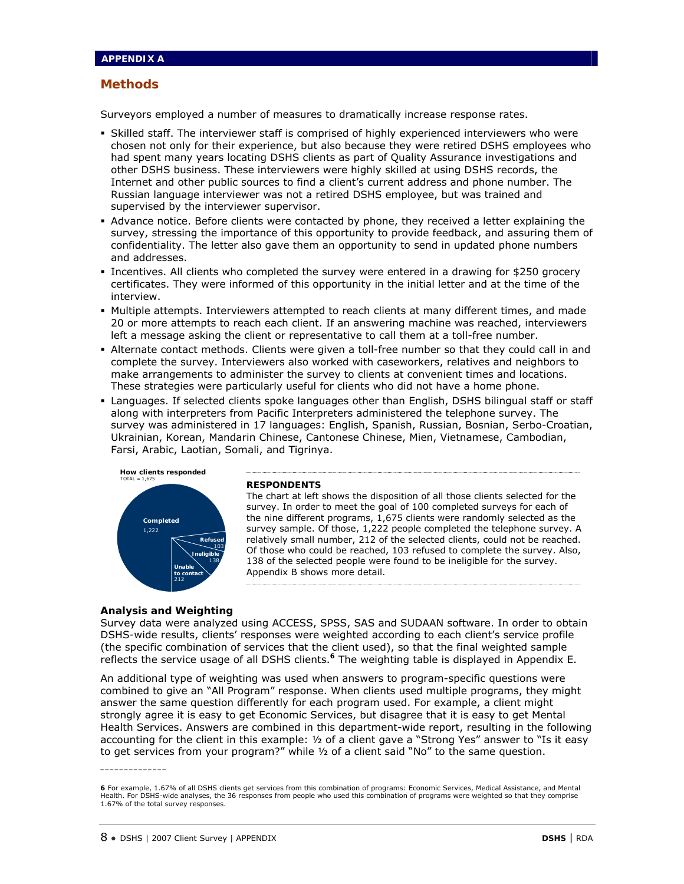Surveyors employed a number of measures to dramatically increase response rates.

- Skilled staff. The interviewer staff is comprised of highly experienced interviewers who were chosen not only for their experience, but also because they were retired DSHS employees who had spent many years locating DSHS clients as part of Quality Assurance investigations and other DSHS business. These interviewers were highly skilled at using DSHS records, the Internet and other public sources to find a client's current address and phone number. The Russian language interviewer was not a retired DSHS employee, but was trained and supervised by the interviewer supervisor.
- Advance notice. Before clients were contacted by phone, they received a letter explaining the survey, stressing the importance of this opportunity to provide feedback, and assuring them of confidentiality. The letter also gave them an opportunity to send in updated phone numbers and addresses.
- Incentives. All clients who completed the survey were entered in a drawing for \$250 grocery certificates. They were informed of this opportunity in the initial letter and at the time of the interview.
- Multiple attempts. Interviewers attempted to reach clients at many different times, and made 20 or more attempts to reach each client. If an answering machine was reached, interviewers left a message asking the client or representative to call them at a toll-free number.
- Alternate contact methods. Clients were given a toll-free number so that they could call in and complete the survey. Interviewers also worked with caseworkers, relatives and neighbors to make arrangements to administer the survey to clients at convenient times and locations. These strategies were particularly useful for clients who did not have a home phone.
- Languages. If selected clients spoke languages other than English, DSHS bilingual staff or staff along with interpreters from Pacific Interpreters administered the telephone survey. The survey was administered in 17 languages: English, Spanish, Russian, Bosnian, Serbo-Croatian, Ukrainian, Korean, Mandarin Chinese, Cantonese Chinese, Mien, Vietnamese, Cambodian, Farsi, Arabic, Laotian, Somali, and Tigrinya.



#### **RESPONDENTS**

The chart at left shows the disposition of all those clients selected for the survey. In order to meet the goal of 100 completed surveys for each of the nine different programs, 1,675 clients were randomly selected as the survey sample. Of those, 1,222 people completed the telephone survey. A relatively small number, 212 of the selected clients, could not be reached. Of those who could be reached, 103 refused to complete the survey. Also, 138 of the selected people were found to be ineligible for the survey. Appendix B shows more detail.

#### **Analysis and Weighting**

**\_\_\_\_\_\_\_\_\_\_\_\_\_\_** 

Survey data were analyzed using ACCESS, SPSS, SAS and SUDAAN software. In order to obtain DSHS-wide results, clients' responses were weighted according to each client's service profile (the specific combination of services that the client used), so that the final weighted sample reflects the service usage of all DSHS clients.**<sup>6</sup>** The weighting table is displayed in Appendix E.

An additional type of weighting was used when answers to program-specific questions were combined to give an "All Program" response. When clients used multiple programs, they might answer the same question differently for each program used. For example, a client might strongly agree it is easy to get Economic Services, but disagree that it is easy to get Mental Health Services. Answers are combined in this department-wide report, resulting in the following accounting for the client in this example: ½ of a client gave a "Strong Yes" answer to "Is it easy to get services from your program?" while ½ of a client said "No" to the same question.

**<sup>6</sup>** For example, 1.67% of all DSHS clients get services from this combination of programs: Economic Services, Medical Assistance, and Mental Health. For DSHS-wide analyses, the 36 responses from people who used this combination of programs were weighted so that they comprise 1.67% of the total survey responses.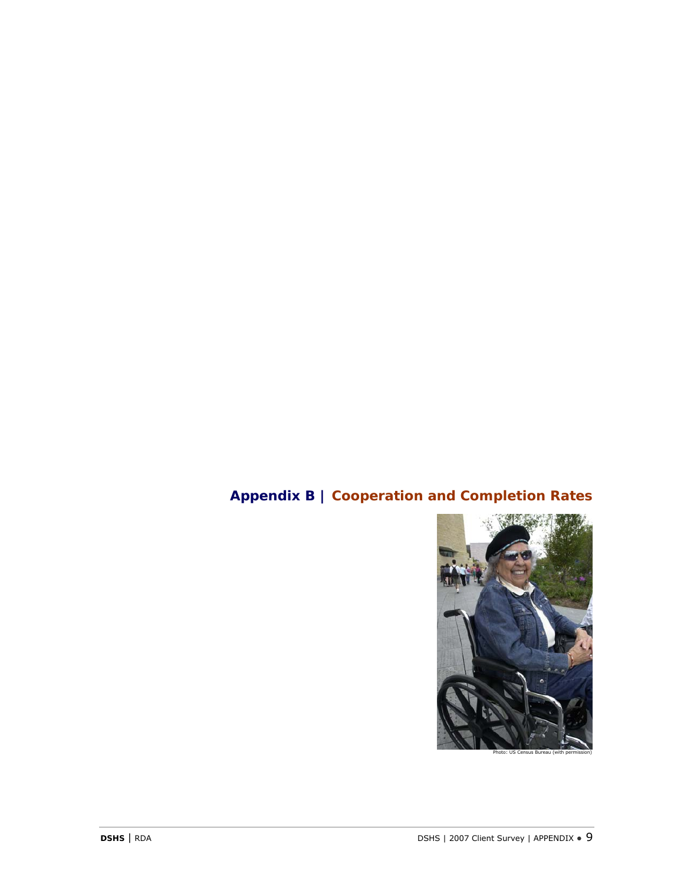# **Appendix B | Cooperation and Completion Rates**

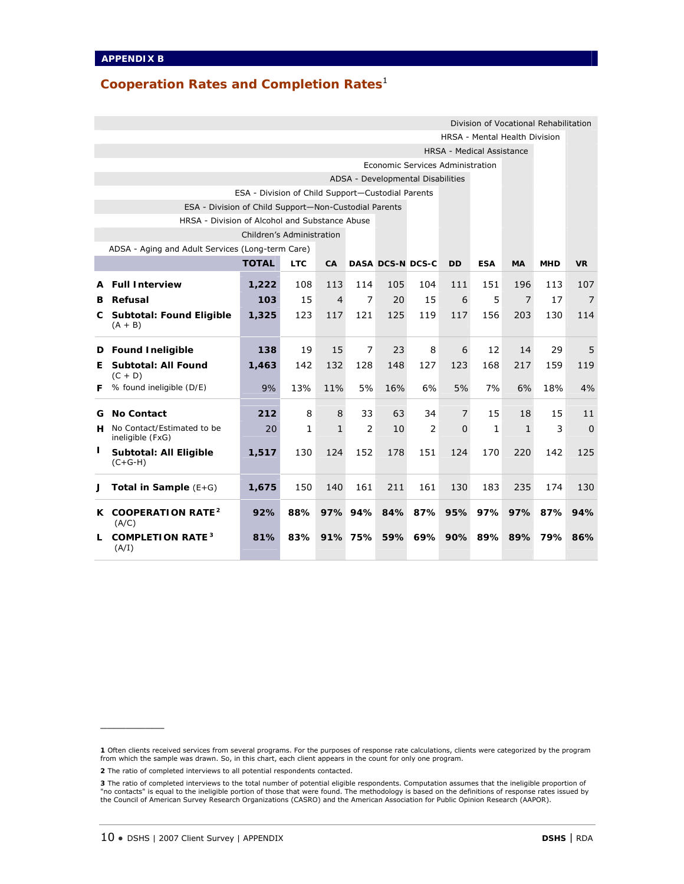## **Cooperation Rates and Completion Rates**<sup>1</sup>

| Division of Vocational Rehabilitation                                                                                          |                                                       |                                                   |              |                |                |                                     |                |                                  |              |                                      |     |                |  |
|--------------------------------------------------------------------------------------------------------------------------------|-------------------------------------------------------|---------------------------------------------------|--------------|----------------|----------------|-------------------------------------|----------------|----------------------------------|--------------|--------------------------------------|-----|----------------|--|
|                                                                                                                                |                                                       |                                                   |              |                |                |                                     |                |                                  |              | <b>HRSA - Mental Health Division</b> |     |                |  |
|                                                                                                                                |                                                       |                                                   |              |                |                |                                     |                | <b>HRSA - Medical Assistance</b> |              |                                      |     |                |  |
|                                                                                                                                |                                                       |                                                   |              |                |                | Economic Services Administration    |                |                                  |              |                                      |     |                |  |
|                                                                                                                                |                                                       |                                                   |              |                |                | ADSA - Developmental Disabilities   |                |                                  |              |                                      |     |                |  |
|                                                                                                                                |                                                       | ESA - Division of Child Support-Custodial Parents |              |                |                |                                     |                |                                  |              |                                      |     |                |  |
|                                                                                                                                | ESA - Division of Child Support-Non-Custodial Parents |                                                   |              |                |                |                                     |                |                                  |              |                                      |     |                |  |
|                                                                                                                                | HRSA - Division of Alcohol and Substance Abuse        |                                                   |              |                |                |                                     |                |                                  |              |                                      |     |                |  |
|                                                                                                                                |                                                       | Children's Administration                         |              |                |                |                                     |                |                                  |              |                                      |     |                |  |
| ADSA - Aging and Adult Services (Long-term Care)                                                                               |                                                       |                                                   |              |                |                |                                     |                |                                  |              |                                      |     |                |  |
| <b>TOTAL</b><br><b>LTC</b><br>CA<br><b>DASA DCS-N DCS-C</b><br><b>DD</b><br><b>ESA</b><br><b>MA</b><br><b>MHD</b><br><b>VR</b> |                                                       |                                                   |              |                |                |                                     |                |                                  |              |                                      |     |                |  |
| A                                                                                                                              | <b>Full Interview</b>                                 | 1,222                                             | 108          | 113            | 114            | 105                                 | 104            | 111                              | 151          | 196                                  | 113 | 107            |  |
| в                                                                                                                              | Refusal                                               | 103                                               | 15           | $\overline{4}$ | $\overline{7}$ | 20                                  | 15             | 6                                | 5            | $\overline{7}$                       | 17  | $\overline{7}$ |  |
| C.                                                                                                                             | <b>Subtotal: Found Eligible</b><br>$(A + B)$          | 1,325                                             | 123          | 117            | 121            | 125                                 | 119            | 117                              | 156          | 203                                  | 130 | 114            |  |
| D                                                                                                                              | <b>Found Ineligible</b>                               | 138                                               | 19           | 15             | 7              | 23                                  | 8              | 6                                | 12           | 14                                   | 29  | 5              |  |
| E.                                                                                                                             | <b>Subtotal: All Found</b><br>$(C + D)$               | 1,463                                             | 142          | 132            | 128            | 148                                 | 127            | 123                              | 168          | 217                                  | 159 | 119            |  |
| F                                                                                                                              | % found ineligible (D/E)                              | 9%                                                | 13%          | 11%            | 5%             | 16%                                 | 6%             | 5%                               | 7%           | 6%                                   | 18% | 4%             |  |
| G                                                                                                                              | <b>No Contact</b>                                     | 212                                               | 8            | 8              | 33             | 63                                  | 34             | $\overline{7}$                   | 15           | 18                                   | 15  | 11             |  |
| н.                                                                                                                             | No Contact/Estimated to be<br>ineligible (FxG)        | 20                                                | $\mathcal I$ | $\mathcal{I}$  | $\overline{2}$ | 10                                  | $\overline{2}$ | $\overline{O}$                   | $\mathcal I$ | $\mathcal{I}$                        | 3   | $\overline{O}$ |  |
| L                                                                                                                              | <b>Subtotal: All Eligible</b><br>$(C+G-H)$            | 1,517                                             | 130          | 124            | 152            | 178                                 | 151            | 124                              | 170          | 220                                  | 142 | 125            |  |
| J                                                                                                                              | Total in Sample $(E+G)$                               | 1,675                                             | 150          | 140            | 161            | 211                                 | 161            | 130                              | 183          | 235                                  | 174 | 130            |  |
|                                                                                                                                | K COOPERATION RATE <sup>2</sup><br>(A/C)              | 92%                                               | 88%          |                |                | 97% 94% 84%                         |                | 87% 95% 97%                      |              | 97%                                  | 87% | 94%            |  |
| L.                                                                                                                             | <b>COMPLETION RATE<sup>3</sup></b><br>(A/I)           | 81%                                               | 83%          |                |                | 91% 75% 59% 69% 90% 89% 89% 79% 86% |                |                                  |              |                                      |     |                |  |

 $\frac{1}{2}$  ,  $\frac{1}{2}$  ,  $\frac{1}{2}$  ,  $\frac{1}{2}$  ,  $\frac{1}{2}$  ,  $\frac{1}{2}$ 

<sup>1</sup> Often clients received services from several programs. For the purposes of response rate calculations, clients were categorized by the program<br>from which the sample was drawn. So, in this chart, each client appears in th

**<sup>2</sup>** The ratio of completed interviews to all potential respondents contacted.

<sup>3</sup> The ratio of completed interviews to the total number of potential eligible respondents. Computation assumes that the ineligible proportion of<br>"no contacts" is equal to the ineligible portion of those that were found. Th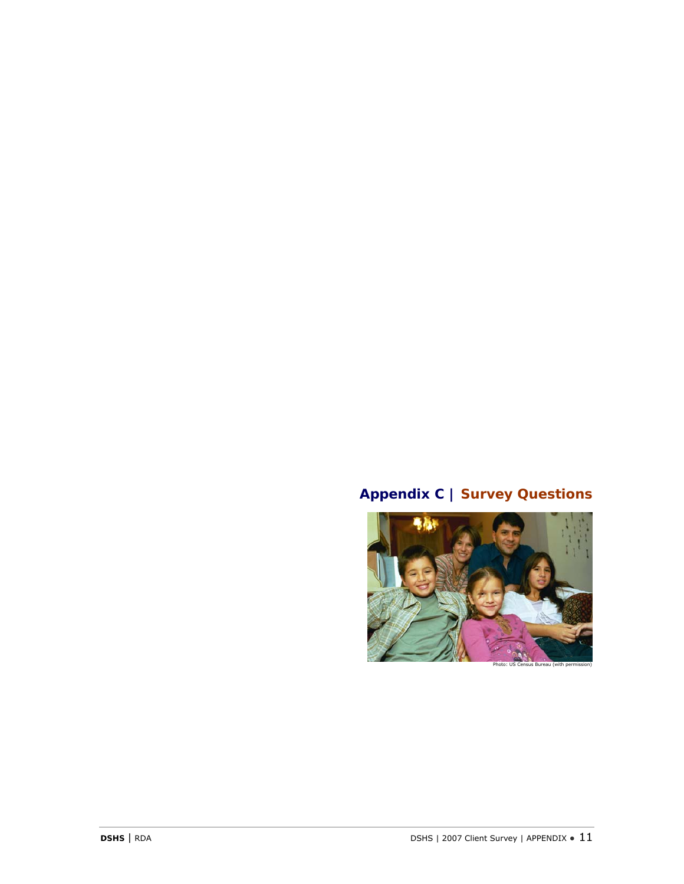# **Appendix C | Survey Questions**

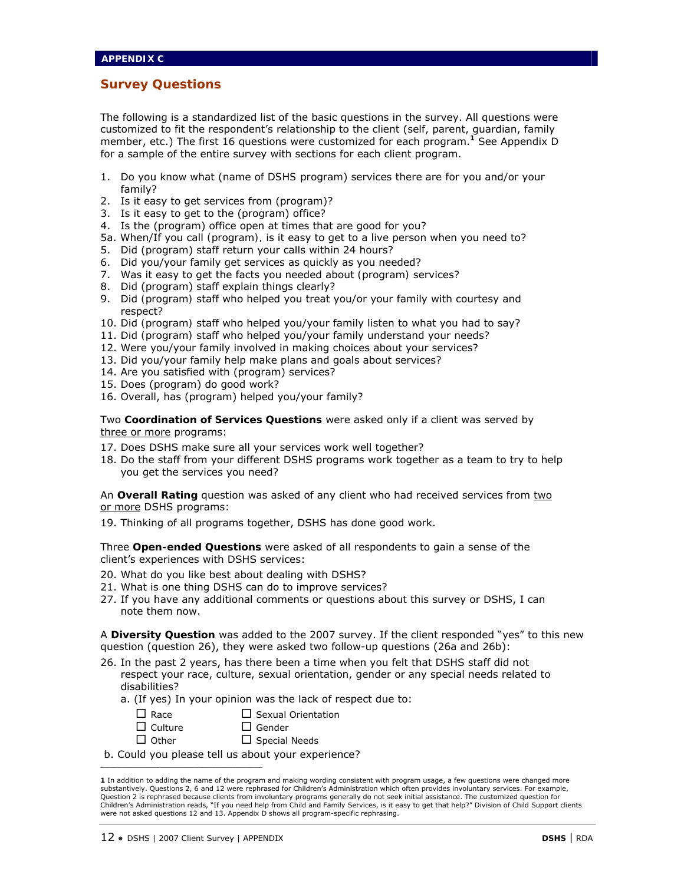### **Survey Questions**

The following is a standardized list of the basic questions in the survey. All questions were customized to fit the respondent's relationship to the client (self, parent, guardian, family member, etc.) The first 16 questions were customized for each program.**<sup>1</sup>** See Appendix D for a sample of the entire survey with sections for each client program.

- 1. Do you know what (*name of DSHS program*) services there are for you and/or your family?
- 2. Is it easy to get services from (*program*)?
- 3. Is it easy to get to the (*program*) office?
- 4. Is the (*program*) office open at times that are good for you?
- 5a. When/If you call *(program),* is it easy to get to a live person when you need to?
- 5. Did (*program*) staff return your calls within 24 hours?
- 6. Did you/your family get services as quickly as you needed?
- 7. Was it easy to get the facts you needed about *(program)* services?
- 8. Did (*program*) staff explain things clearly?
- 9. Did *(program)* staff who helped you treat you/or your family with courtesy and respect?
- 10. Did *(program)* staff who helped you/your family listen to what you had to say?
- 11. Did *(program)* staff who helped you/your family understand your needs?
- 12. Were you/your family involved in making choices about your services?
- 13. Did you/your family help make plans and goals about services?
- 14. Are you satisfied with (*program*) services?
- 15. Does (*program*) do good work?
- 16. Overall, has (*program*) helped you/your family?

Two **Coordination of Services Questions** were asked only if a client was served by three or more programs:

- 17. Does DSHS make sure all your services work well together?
- 18. Do the staff from your different DSHS programs work together as a team to try to help you get the services you need?

An **Overall Rating** question was asked of any client who had received services from two or more DSHS programs:

19. Thinking of all programs together, DSHS has done good work.

Three **Open-ended Questions** were asked of all respondents to gain a sense of the client's experiences with DSHS services:

- 20. What do you like best about dealing with DSHS?
- 21. What is one thing DSHS can do to improve services?
- 27. If you have any additional comments or questions about this survey or DSHS, I can note them now.

A **Diversity Question** was added to the 2007 survey. If the client responded "yes" to this new question (question 26), they were asked two follow-up questions (26a and 26b):

- 26. In the past 2 years, has there been a time when you felt that DSHS staff did not respect your race, culture, sexual orientation, gender or any special needs related to disabilities?
	- a. (If yes) In your opinion was the lack of respect due to:

| $\Box$ Race    | $\Box$ Sexual Orientation |
|----------------|---------------------------|
| $\Box$ Culture | $\Box$ Gender             |

- $\Box$  Other  $\Box$  Special Needs
- b. Could you please tell us about your experience?

 $\mathcal{L}_\text{max}$  and  $\mathcal{L}_\text{max}$  and  $\mathcal{L}_\text{max}$  and  $\mathcal{L}_\text{max}$ 

**<sup>1</sup>** In addition to adding the name of the program and making wording consistent with program usage, a few questions were changed more substantively. Questions 2, 6 and 12 were rephrased for Children's Administration which often provides involuntary services. For example, Question 2 is rephrased because clients from involuntary programs generally do not seek initial assistance. The customized question for<br>Children's Administration reads, "If you need help from Child and Family Services, is were not asked questions 12 and 13. Appendix D shows all program-specific rephrasing.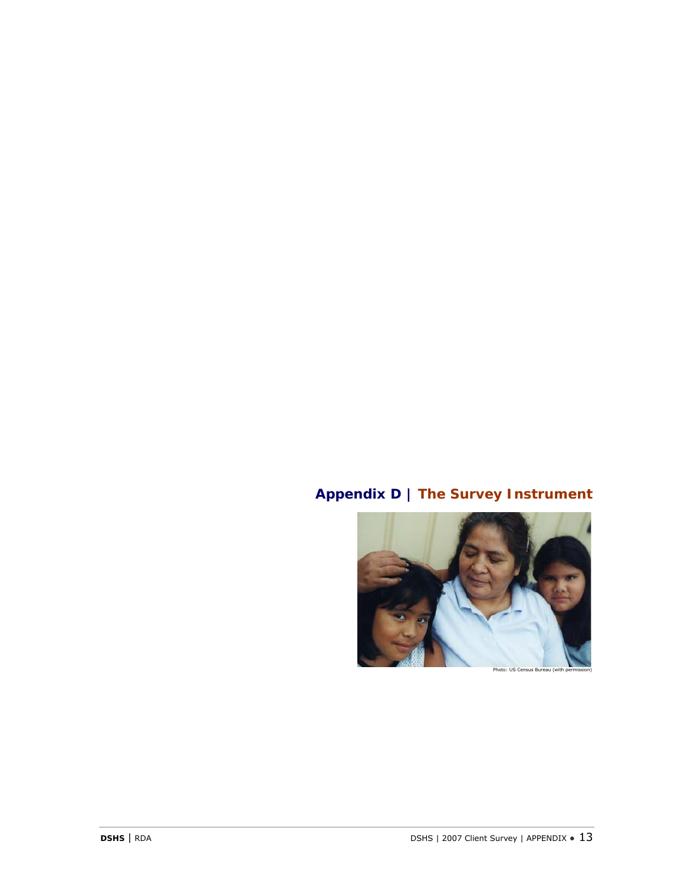# **Appendix D | The Survey Instrument**

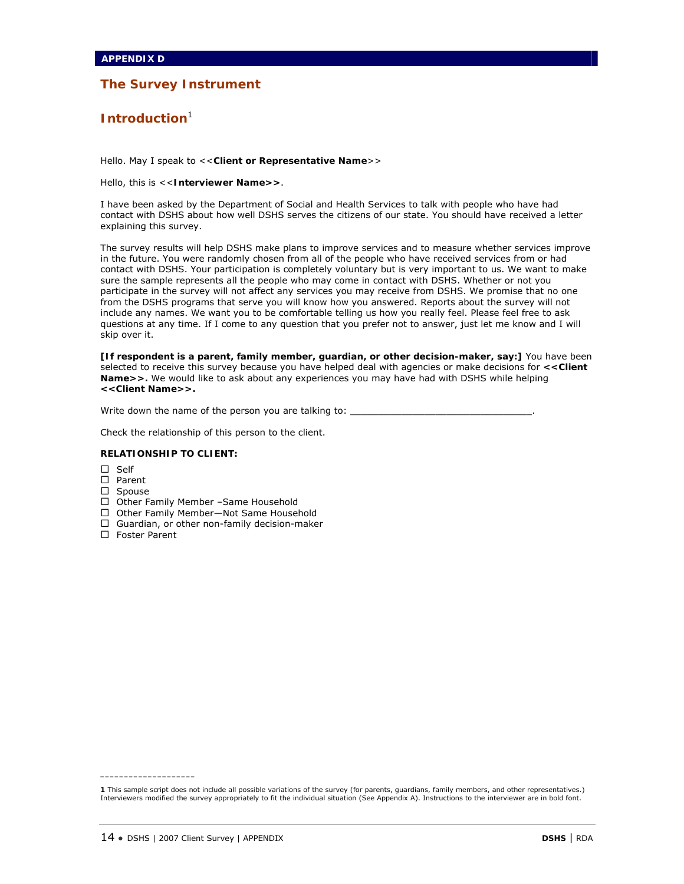## **Introduction**<sup>1</sup>

Hello. May I speak to <<**Client or Representative Name**>>

Hello, this is <<**Interviewer Name>>**.

I have been asked by the Department of Social and Health Services to talk with people who have had contact with DSHS about how well DSHS serves the citizens of our state. You should have received a letter explaining this survey.

The survey results will help DSHS make plans to improve services and to measure whether services improve in the future. You were randomly chosen from all of the people who have received services from or had contact with DSHS. Your participation is completely voluntary but is very important to us. We want to make sure the sample represents all the people who may come in contact with DSHS. Whether or not you participate in the survey will not affect any services you may receive from DSHS. We promise that no one from the DSHS programs that serve you will know how you answered. Reports about the survey will not include any names. We want you to be comfortable telling us how you really feel. Please feel free to ask questions at any time. If I come to any question that you prefer not to answer, just let me know and I will skip over it.

**[If respondent is a parent, family member, guardian, or other decision-maker, say:]** You have been selected to receive this survey because you have helped deal with agencies or make decisions for **<<Client Name>>.** We would like to ask about any experiences you may have had with DSHS while helping **<<Client Name>>.** 

Write down the name of the person you are talking to:

Check the relationship of this person to the client.

#### **RELATIONSHIP TO CLIENT:**

- $\square$  Self
- □ Parent
- □ Spouse
- □ Other Family Member -Same Household
- □ Other Family Member-Not Same Household
- $\Box$  Guardian, or other non-family decision-maker
- $\Box$  Foster Parent

**\_\_\_\_\_\_\_\_\_\_\_\_\_\_\_\_\_\_\_\_** 

**<sup>1</sup>** This sample script does not include all possible variations of the survey (for parents, guardians, family members, and other representatives.) Interviewers modified the survey appropriately to fit the individual situation (See Appendix A). Instructions to the interviewer are in bold font.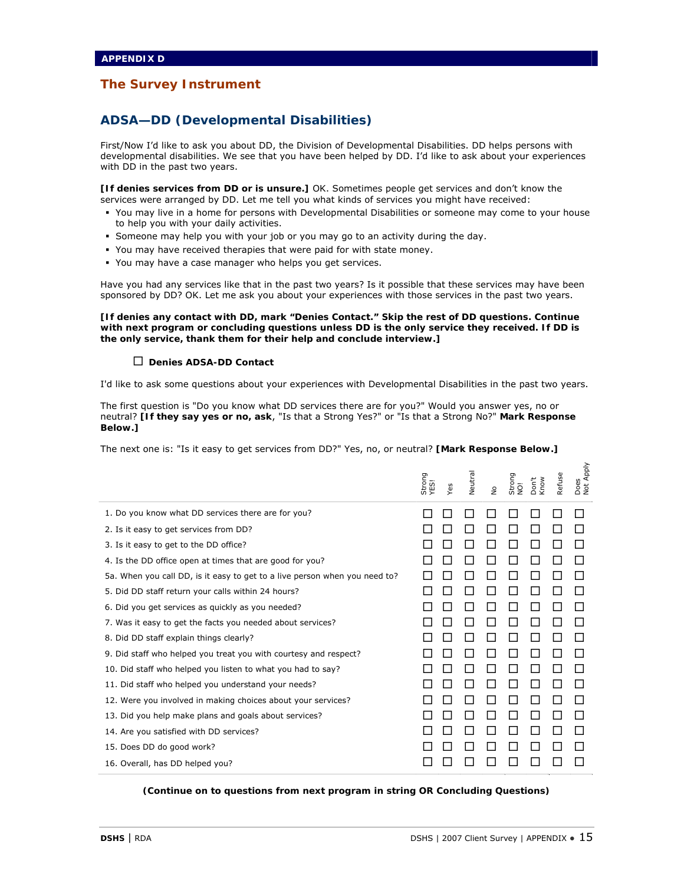## **ADSA—DD (Developmental Disabilities)**

First/Now I'd like to ask you about DD, the Division of Developmental Disabilities. DD helps persons with developmental disabilities. We see that you have been helped by DD. I'd like to ask about your experiences with DD in the past two years.

**[If denies services from DD or is unsure.]** OK. Sometimes people get services and don't know the services were arranged by DD. Let me tell you what kinds of services you might have received:

- You may live in a home for persons with Developmental Disabilities or someone may come to your house to help you with your daily activities.
- Someone may help you with your job or you may go to an activity during the day.
- You may have received therapies that were paid for with state money.
- You may have a case manager who helps you get services.

Have you had any services like that in the past two years? Is it possible that these services may have been sponsored by DD? OK. Let me ask you about your experiences with those services in the past two years.

**[If denies any contact with DD, mark "Denies Contact." Skip the rest of DD questions. Continue with next program or concluding questions unless DD is the only service they received. If DD is the only service, thank them for their help and conclude interview.]** 

#### **Denies ADSA-DD Contact**

I'd like to ask some questions about your experiences with Developmental Disabilities in the past two years.

The first question is "Do you know what DD services there are for you?" Would you answer yes, no or neutral? **[If they say yes or no, ask**, "Is that a Strong Yes?" or "Is that a Strong No?" **Mark Response Below.]** 

The next one is: "Is it easy to get services from DD?" Yes, no, or neutral? **[Mark Response Below.]** 

|                                                                            | Strong<br>YES! | Yes | Neutral | $\frac{1}{2}$ | Strong<br>$\overline{9}$ | on't<br>Know | efuse | Does<br>Not Apply |
|----------------------------------------------------------------------------|----------------|-----|---------|---------------|--------------------------|--------------|-------|-------------------|
| 1. Do you know what DD services there are for you?                         |                |     |         |               |                          |              |       |                   |
| 2. Is it easy to get services from DD?                                     |                |     |         |               |                          |              |       |                   |
| 3. Is it easy to get to the DD office?                                     |                |     |         |               |                          |              |       |                   |
| 4. Is the DD office open at times that are good for you?                   |                |     |         |               |                          |              |       |                   |
| 5a. When you call DD, is it easy to get to a live person when you need to? |                |     |         |               |                          |              |       |                   |
| 5. Did DD staff return your calls within 24 hours?                         |                |     |         |               |                          |              |       |                   |
| 6. Did you get services as guickly as you needed?                          |                |     |         |               |                          |              |       |                   |
| 7. Was it easy to get the facts you needed about services?                 |                |     |         |               |                          |              |       |                   |
| 8. Did DD staff explain things clearly?                                    |                |     |         |               |                          |              |       |                   |
| 9. Did staff who helped you treat you with courtesy and respect?           |                |     |         |               |                          |              |       |                   |
| 10. Did staff who helped you listen to what you had to say?                |                |     |         |               |                          |              |       |                   |
| 11. Did staff who helped you understand your needs?                        |                |     |         |               |                          |              |       |                   |
| 12. Were you involved in making choices about your services?               |                |     |         |               |                          |              |       |                   |
| 13. Did you help make plans and goals about services?                      |                |     |         |               |                          |              |       |                   |
| 14. Are you satisfied with DD services?                                    |                |     |         |               |                          |              |       |                   |
| 15. Does DD do good work?                                                  |                |     |         |               |                          |              |       |                   |
| 16. Overall, has DD helped you?                                            |                |     |         |               |                          |              |       |                   |

*(Continue on to questions from next program in string OR Concluding Questions)*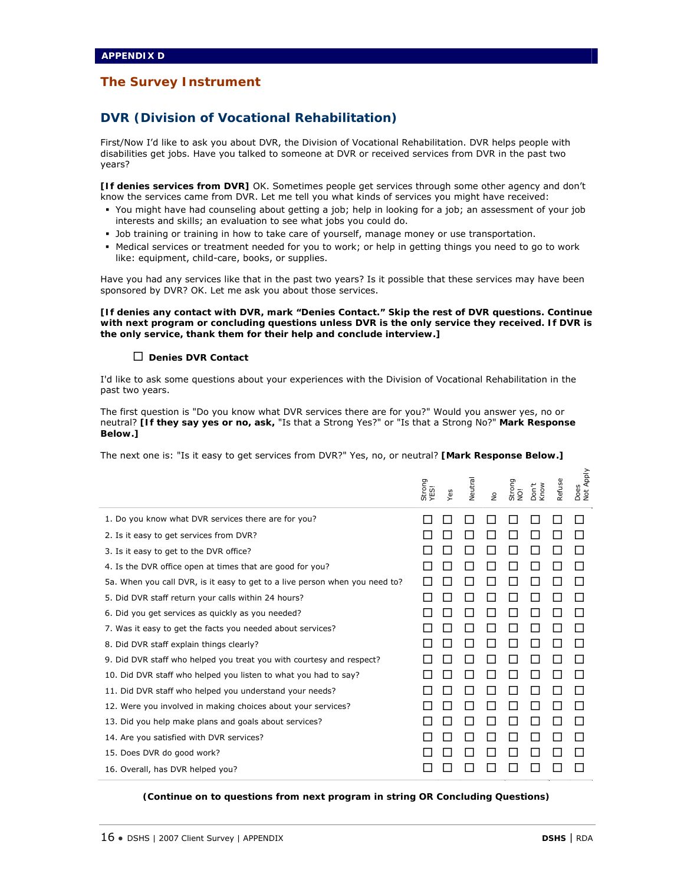## **DVR (Division of Vocational Rehabilitation)**

First/Now I'd like to ask you about DVR, the Division of Vocational Rehabilitation. DVR helps people with disabilities get jobs. Have you talked to someone at DVR or received services from DVR in the past two years?

**[If denies services from DVR]** OK. Sometimes people get services through some other agency and don't know the services came from DVR. Let me tell you what kinds of services you might have received:

- You might have had counseling about getting a job; help in looking for a job; an assessment of your job interests and skills; an evaluation to see what jobs you could do.
- Job training or training in how to take care of yourself, manage money or use transportation.
- Medical services or treatment needed for you to work; or help in getting things you need to go to work like: equipment, child-care, books, or supplies.

Have you had any services like that in the past two years? Is it possible that these services may have been sponsored by DVR? OK. Let me ask you about those services.

**[If denies any contact with DVR, mark "Denies Contact." Skip the rest of DVR questions. Continue with next program or concluding questions unless DVR is the only service they received. If DVR is the only service, thank them for their help and conclude interview.]** 

#### **Denies DVR Contact**

I'd like to ask some questions about your experiences with the Division of Vocational Rehabilitation in the past two years.

The first question is "Do you know what DVR services there are for you?" Would you answer yes, no or neutral? **[If they say yes or no, ask,** "Is that a Strong Yes?" or "Is that a Strong No?" **Mark Response Below.]** 

The next one is: "Is it easy to get services from DVR?" Yes, no, or neutral? **[Mark Response Below.]** 

|                                                                             | Strong<br>YES! | Yes | Veutral | $\frac{1}{2}$ | Strong<br>$\overline{9}$ | Know<br>Don't | Refuse | Does<br>Not Apply |
|-----------------------------------------------------------------------------|----------------|-----|---------|---------------|--------------------------|---------------|--------|-------------------|
| 1. Do you know what DVR services there are for you?                         |                |     |         |               |                          |               |        |                   |
| 2. Is it easy to get services from DVR?                                     |                |     |         |               |                          |               |        |                   |
| 3. Is it easy to get to the DVR office?                                     |                |     |         |               |                          |               |        |                   |
| 4. Is the DVR office open at times that are good for you?                   |                |     |         |               |                          |               |        |                   |
| 5a. When you call DVR, is it easy to get to a live person when you need to? |                |     |         |               |                          |               |        |                   |
| 5. Did DVR staff return your calls within 24 hours?                         |                |     |         |               |                          |               |        |                   |
| 6. Did you get services as quickly as you needed?                           |                |     |         |               |                          |               |        |                   |
| 7. Was it easy to get the facts you needed about services?                  |                |     |         |               |                          |               |        |                   |
| 8. Did DVR staff explain things clearly?                                    |                |     |         |               |                          |               |        |                   |
| 9. Did DVR staff who helped you treat you with courtesy and respect?        |                |     |         |               |                          |               |        |                   |
| 10. Did DVR staff who helped you listen to what you had to say?             |                |     |         |               |                          |               |        |                   |
| 11. Did DVR staff who helped you understand your needs?                     |                |     |         |               |                          |               |        |                   |
| 12. Were you involved in making choices about your services?                |                |     |         |               |                          |               |        |                   |
| 13. Did you help make plans and goals about services?                       |                |     |         |               | L.                       |               |        |                   |
| 14. Are you satisfied with DVR services?                                    |                |     |         |               |                          |               |        |                   |
| 15. Does DVR do good work?                                                  |                |     |         |               |                          |               |        |                   |
| 16. Overall, has DVR helped you?                                            |                |     |         |               |                          |               |        |                   |

*(Continue on to questions from next program in string OR Concluding Questions)*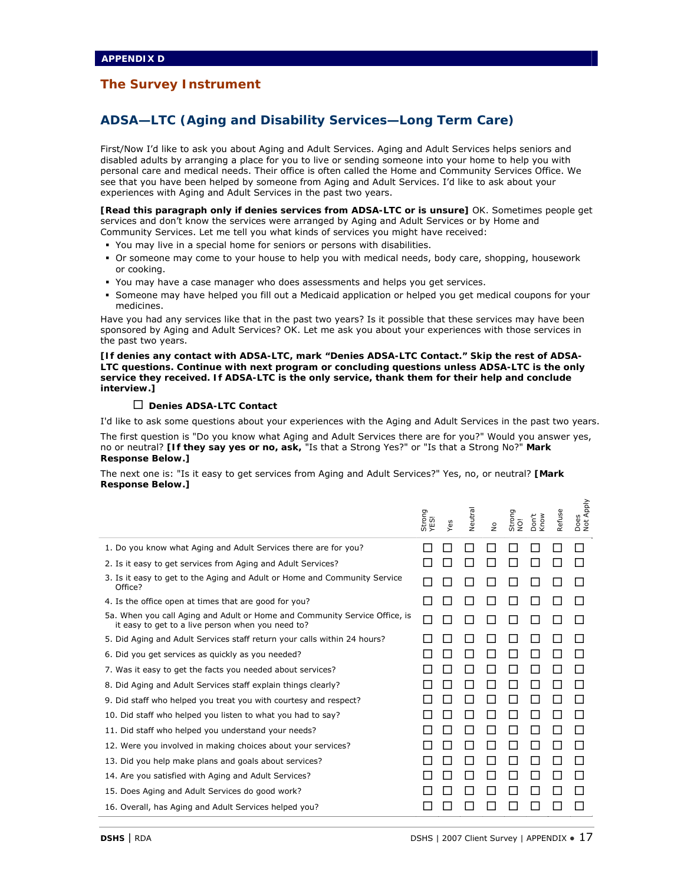## **ADSA—LTC (Aging and Disability Services—Long Term Care)**

First/Now I'd like to ask you about Aging and Adult Services. Aging and Adult Services helps seniors and disabled adults by arranging a place for you to live or sending someone into your home to help you with personal care and medical needs. Their office is often called the Home and Community Services Office. We see that you have been helped by someone from Aging and Adult Services. I'd like to ask about your experiences with Aging and Adult Services in the past two years.

**[Read this paragraph only if denies services from ADSA-LTC or is unsure]** OK. Sometimes people get services and don't know the services were arranged by Aging and Adult Services or by Home and Community Services. Let me tell you what kinds of services you might have received:

- You may live in a special home for seniors or persons with disabilities.
- Or someone may come to your house to help you with medical needs, body care, shopping, housework or cooking.
- You may have a case manager who does assessments and helps you get services.
- Someone may have helped you fill out a Medicaid application or helped you get medical coupons for your medicines.

Have you had any services like that in the past two years? Is it possible that these services may have been sponsored by Aging and Adult Services? OK. Let me ask you about your experiences with those services in the past two years.

**[If denies any contact with ADSA-LTC, mark "Denies ADSA-LTC Contact." Skip the rest of ADSA-LTC questions. Continue with next program or concluding questions unless ADSA-LTC is the only service they received. If ADSA-LTC is the only service, thank them for their help and conclude interview.]** 

#### **Denies ADSA-LTC Contact**

I'd like to ask some questions about your experiences with the Aging and Adult Services in the past two years.

The first question is "Do you know what Aging and Adult Services there are for you?" Would you answer yes, no or neutral? **[If they say yes or no, ask,** "Is that a Strong Yes?" or "Is that a Strong No?" **Mark Response Below.]** 

The next one is: "Is it easy to get services from Aging and Adult Services?" Yes, no, or neutral? **[Mark Response Below.]** 

|                                                                                                                                 | Strong<br>YES! | Yes | Veutra | $\frac{1}{2}$ | Strong<br>ğ | Know<br>Don't | Refuse | Does<br>Not Apply |
|---------------------------------------------------------------------------------------------------------------------------------|----------------|-----|--------|---------------|-------------|---------------|--------|-------------------|
| 1. Do you know what Aging and Adult Services there are for you?                                                                 |                |     |        |               |             |               |        |                   |
| 2. Is it easy to get services from Aging and Adult Services?                                                                    |                |     |        |               |             |               |        |                   |
| 3. Is it easy to get to the Aging and Adult or Home and Community Service<br>Office?                                            |                |     |        |               |             |               |        |                   |
| 4. Is the office open at times that are good for you?                                                                           |                |     |        |               |             |               |        |                   |
| 5a. When you call Aging and Adult or Home and Community Service Office, is<br>it easy to get to a live person when you need to? |                |     |        |               |             |               |        |                   |
| 5. Did Aging and Adult Services staff return your calls within 24 hours?                                                        |                |     |        |               |             |               |        |                   |
| 6. Did you get services as quickly as you needed?                                                                               |                |     |        |               |             |               |        |                   |
| 7. Was it easy to get the facts you needed about services?                                                                      |                |     |        |               |             |               |        |                   |
| 8. Did Aging and Adult Services staff explain things clearly?                                                                   |                |     |        |               | H           |               |        |                   |
| 9. Did staff who helped you treat you with courtesy and respect?                                                                |                |     |        |               |             |               |        |                   |
| 10. Did staff who helped you listen to what you had to say?                                                                     |                |     |        |               |             |               |        |                   |
| 11. Did staff who helped you understand your needs?                                                                             |                |     |        |               |             |               |        |                   |
| 12. Were you involved in making choices about your services?                                                                    |                |     |        |               |             |               |        |                   |
| 13. Did you help make plans and goals about services?                                                                           |                |     |        |               |             |               |        |                   |
| 14. Are you satisfied with Aging and Adult Services?                                                                            |                |     |        |               |             |               |        |                   |
| 15. Does Aging and Adult Services do good work?                                                                                 |                |     |        |               |             |               |        |                   |
| 16. Overall, has Aging and Adult Services helped you?                                                                           |                |     |        |               |             |               |        |                   |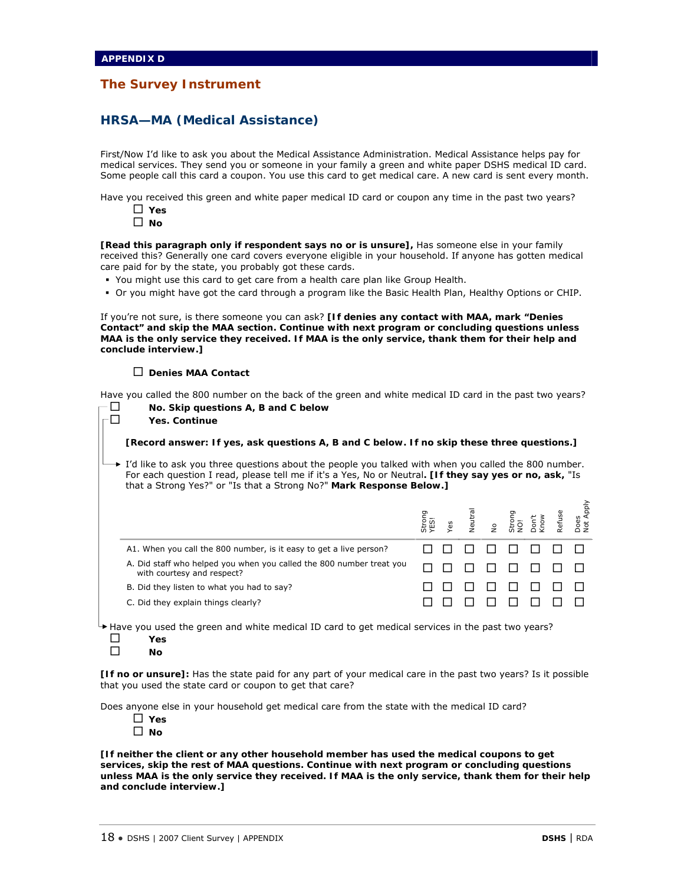## **HRSA—MA (Medical Assistance)**

First/Now I'd like to ask you about the Medical Assistance Administration. Medical Assistance helps pay for medical services. They send you or someone in your family a green and white paper DSHS medical ID card. Some people call this card a coupon. You use this card to get medical care. A new card is sent every month.

Have you received this green and white paper medical ID card or coupon any time in the past two years?

- **Yes**
- **No**

**[Read this paragraph only if respondent says no or is unsure],** Has someone else in your family received this? Generally one card covers everyone eligible in your household. If anyone has gotten medical care paid for by the state, you probably got these cards.

- You might use this card to get care from a health care plan like Group Health.
- Or you might have got the card through a program like the Basic Health Plan, Healthy Options or CHIP.

If you're not sure, is there someone you can ask? **[If denies any contact with MAA, mark "Denies Contact" and skip the MAA section. Continue with next program or concluding questions unless MAA is the only service they received. If MAA is the only service, thank them for their help and conclude interview.]** 

#### **Denies MAA Contact**

Have you called the 800 number on the back of the green and white medical ID card in the past two years?

 **No. Skip questions A, B and C below Yes. Continue [Record answer: If yes, ask questions A, B and C below. If no skip these three questions.]**   $\rightarrow$  I'd like to ask you three questions about the people you talked with when you called the 800 number. For each question I read, please tell me if it's a Yes, No or Neutral**. [If they say yes or no, ask,** "Is that a Strong Yes?" or "Is that a Strong No?" **Mark Response Below.]** Strong<br>YES!<br>Yes **Neutra** No Strong<br>NO!<br>Don't<br>Know Refuse A1. When you call the 800 number, is it easy to get a live person?  $\Box \Box \Box \Box \Box \Box \Box \Box \Box$ A. Did staff who helped you when you called the 800 number treat you with courtesy and respect? B. Did they listen to what you had to say? C. Did they explain things clearly? Have you used the green and white medical ID card to get medical services in the past two years?

**Yes** 

 $\square$  No

**[If no or unsure]:** Has the state paid for any part of your medical care in the past two years? Is it possible that you used the state card or coupon to get that care?

Does anyone else in your household get medical care from the state with the medical ID card?

- **Yes**
- **No**

**[If neither the client or any other household member has used the medical coupons to get services, skip the rest of MAA questions. Continue with next program or concluding questions unless MAA is the only service they received. If MAA is the only service, thank them for their help and conclude interview.]** 

Does<br>Vot A Not Apply

**Apply**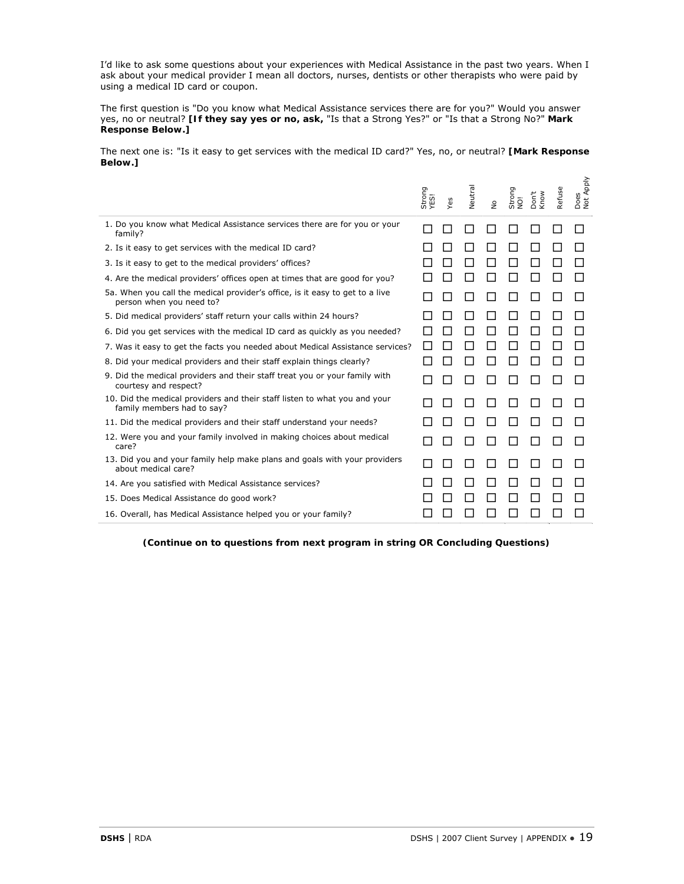I'd like to ask some questions about your experiences with Medical Assistance in the past two years. When I ask about your medical provider I mean all doctors, nurses, dentists or other therapists who were paid by using a medical ID card or coupon.

The first question is "Do you know what Medical Assistance services there are for you?" Would you answer yes, no or neutral? **[If they say yes or no, ask,** "Is that a Strong Yes?" or "Is that a Strong No?" **Mark Response Below.]** 

The next one is: "Is it easy to get services with the medical ID card?" Yes, no, or neutral? **[Mark Response Below.]** 

|                                                                                                          | Strong<br>YES! | Yes | Neutral | $\frac{\circ}{\mathsf{Z}}$ | Strong<br>NO! | Don't<br>Know | efuse<br>$\tilde{\alpha}$ | Does<br>Not Apply |
|----------------------------------------------------------------------------------------------------------|----------------|-----|---------|----------------------------|---------------|---------------|---------------------------|-------------------|
| 1. Do you know what Medical Assistance services there are for you or your<br>family?                     |                |     |         |                            |               |               |                           |                   |
| 2. Is it easy to get services with the medical ID card?                                                  |                |     |         |                            |               |               |                           |                   |
| 3. Is it easy to get to the medical providers' offices?                                                  |                |     |         |                            |               |               |                           |                   |
| 4. Are the medical providers' offices open at times that are good for you?                               |                |     |         |                            |               |               |                           |                   |
| 5a. When you call the medical provider's office, is it easy to get to a live<br>person when you need to? |                |     |         |                            |               |               |                           |                   |
| 5. Did medical providers' staff return your calls within 24 hours?                                       |                |     |         |                            |               |               |                           |                   |
| 6. Did you get services with the medical ID card as quickly as you needed?                               |                |     |         |                            |               |               |                           |                   |
| 7. Was it easy to get the facts you needed about Medical Assistance services?                            |                |     |         |                            |               |               |                           |                   |
| 8. Did your medical providers and their staff explain things clearly?                                    |                |     |         |                            |               |               |                           |                   |
| 9. Did the medical providers and their staff treat you or your family with<br>courtesy and respect?      |                |     |         |                            |               |               |                           |                   |
| 10. Did the medical providers and their staff listen to what you and your<br>family members had to say?  |                |     |         |                            |               |               |                           |                   |
| 11. Did the medical providers and their staff understand your needs?                                     |                |     |         |                            |               |               |                           |                   |
| 12. Were you and your family involved in making choices about medical<br>care?                           |                |     |         |                            |               |               |                           |                   |
| 13. Did you and your family help make plans and goals with your providers<br>about medical care?         |                |     |         |                            |               |               |                           |                   |
| 14. Are you satisfied with Medical Assistance services?                                                  |                |     |         |                            |               |               |                           |                   |
| 15. Does Medical Assistance do good work?                                                                |                |     |         |                            |               |               |                           |                   |
| 16. Overall, has Medical Assistance helped you or your family?                                           |                |     |         |                            |               |               |                           |                   |

*(Continue on to questions from next program in string OR Concluding Questions)*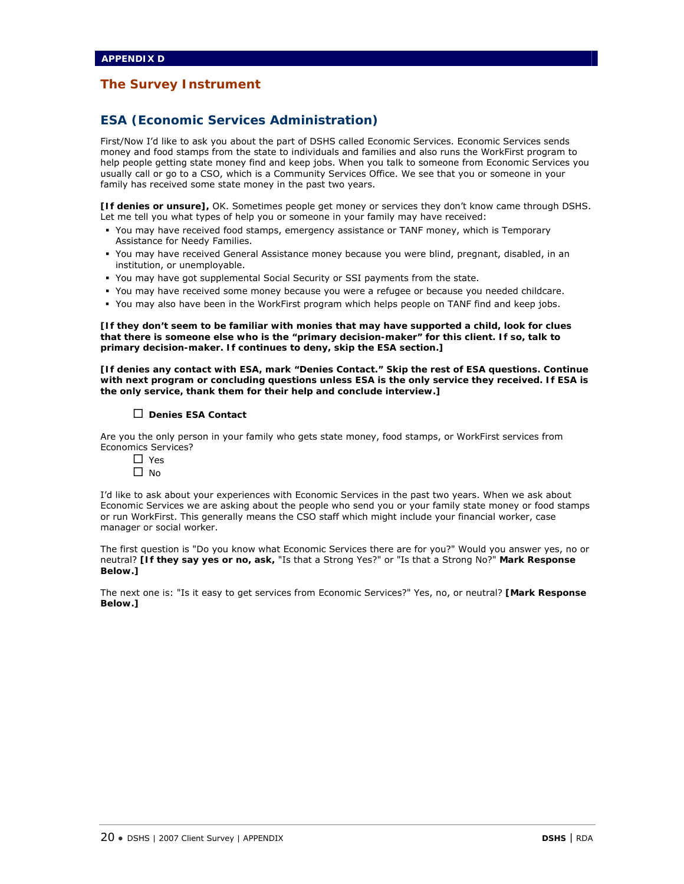## **ESA (Economic Services Administration)**

First/Now I'd like to ask you about the part of DSHS called Economic Services. Economic Services sends money and food stamps from the state to individuals and families and also runs the WorkFirst program to help people getting state money find and keep jobs. When you talk to someone from Economic Services you usually call or go to a CSO, which is a Community Services Office. We see that you or someone in your family has received some state money in the past two years.

**[If denies or unsure],** OK. Sometimes people get money or services they don't know came through DSHS. Let me tell you what types of help you or someone in your family may have received:

- You may have received food stamps, emergency assistance or TANF money, which is Temporary Assistance for Needy Families.
- You may have received General Assistance money because you were blind, pregnant, disabled, in an institution, or unemployable.
- You may have got supplemental Social Security or SSI payments from the state.
- You may have received some money because you were a refugee or because you needed childcare.
- You may also have been in the WorkFirst program which helps people on TANF find and keep jobs.

**[If they don't seem to be familiar with monies that may have supported a child, look for clues that there is someone else who is the "primary decision-maker" for this client. If so, talk to primary decision-maker. If continues to deny, skip the ESA section.]** 

**[If denies any contact with ESA, mark "Denies Contact." Skip the rest of ESA questions. Continue with next program or concluding questions unless ESA is the only service they received. If ESA is the only service, thank them for their help and conclude interview.]**

#### **Denies ESA Contact**

Are you the only person in your family who gets state money, food stamps, or WorkFirst services from Economics Services?

□ Yes  $\Box$  No

I'd like to ask about your experiences with Economic Services in the past two years. When we ask about Economic Services we are asking about the people who send you or your family state money or food stamps or run WorkFirst. This generally means the CSO staff which might include your financial worker, case manager or social worker.

The first question is "Do you know what Economic Services there are for you?" Would you answer yes, no or neutral? **[If they say yes or no, ask,** "Is that a Strong Yes?" or "Is that a Strong No?" **Mark Response Below.]** 

The next one is: "Is it easy to get services from Economic Services?" Yes, no, or neutral? **[Mark Response Below.]**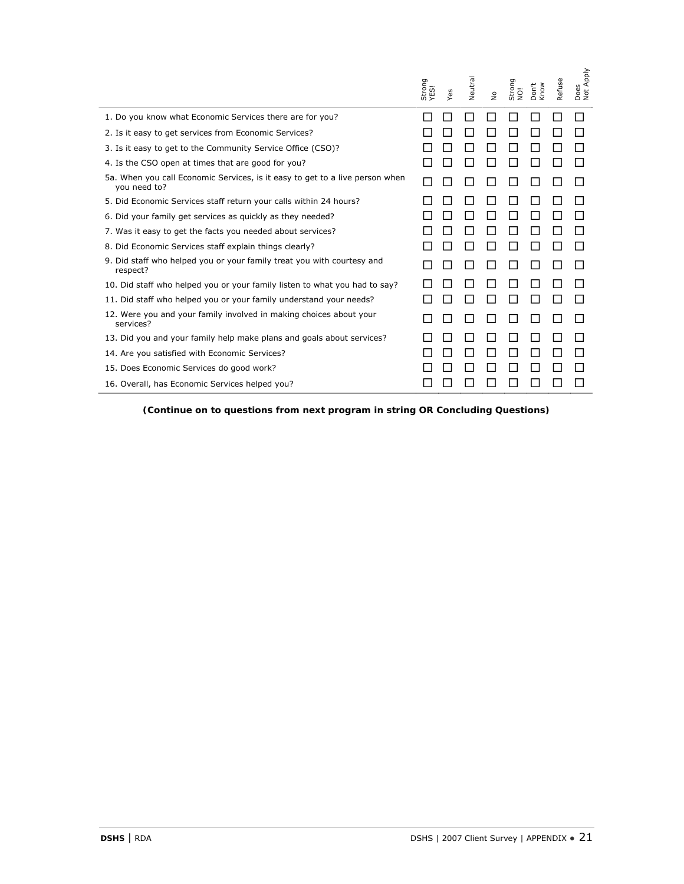|                                                                                                                                  | Strong<br>YES! | Yes         | Neutral | $\overset{\mathtt{o}}{\mathtt{z}}$ | Strong<br>NO!               | Don't<br>Know | Refuse | Does<br>Not Apply |
|----------------------------------------------------------------------------------------------------------------------------------|----------------|-------------|---------|------------------------------------|-----------------------------|---------------|--------|-------------------|
| 1. Do you know what Economic Services there are for you?                                                                         |                | ப           | □       | $\Box$                             | $\mathsf{L}$                |               | П      | П                 |
| 2. Is it easy to get services from Economic Services?                                                                            |                | $\Box$      | $\Box$  | ⊔                                  | $\mathcal{L}$               |               | $\Box$ | $\Box$            |
| 3. Is it easy to get to the Community Service Office (CSO)?                                                                      |                | $\Box$      | ப       | ⊔                                  | $\mathcal{L}_{\mathcal{A}}$ |               | □      | П                 |
| 4. Is the CSO open at times that are good for you?                                                                               |                | $\Box$      | ப       | $\Box$                             | $\mathcal{L}_{\mathcal{A}}$ | Ш             | П      | $\Box$            |
| 5a. When you call Economic Services, is it easy to get to a live person when<br>you need to?                                     |                | $\Box$      | □       | ⊔                                  | □                           | Ш             | ⊔      | $\perp$           |
| 5. Did Economic Services staff return your calls within 24 hours?                                                                |                | П           | П       | □                                  | П                           | $\mathsf{L}$  | П      | П                 |
| 6. Did your family get services as quickly as they needed?                                                                       |                | П           | $\Box$  | П                                  | П                           | П             | П      | П                 |
| 7. Was it easy to get the facts you needed about services?                                                                       |                | $\Box$      | ப       | $\Box$                             |                             |               | П      | П                 |
| 8. Did Economic Services staff explain things clearly?<br>9. Did staff who helped you or your family treat you with courtesy and |                | $\Box$<br>ப | ⊔<br>□  | ப<br>ப                             | ⊔<br>□                      | ப<br>ப        | □<br>□ | $\Box$<br>$\Box$  |
| respect?<br>10. Did staff who helped you or your family listen to what you had to say?                                           |                | П           | П       | H                                  | ΙI                          | ΙI            | П      | П                 |
| 11. Did staff who helped you or your family understand your needs?                                                               |                | $\Box$      | ப       | $\Box$                             | □                           | ப             | □      | □                 |
| 12. Were you and your family involved in making choices about your<br>services?                                                  |                | $\Box$      | □       | $\Box$                             | □                           | $\Box$        | $\Box$ | $\Box$            |
| 13. Did you and your family help make plans and goals about services?                                                            | $\mathsf{L}$   | $\Box$      | П       | $\Box$                             | П                           | $\mathsf{L}$  | П      | П                 |
| 14. Are you satisfied with Economic Services?                                                                                    |                | $\Box$      | □       | □                                  | $\Box$                      | Ш             | П      | □                 |
| 15. Does Economic Services do good work?                                                                                         |                | П           | ⊔       | $\Box$                             | $\mathcal{L}_{\mathcal{A}}$ |               | ப      | П                 |
| 16. Overall, has Economic Services helped you?                                                                                   |                | $\Box$      | ப       |                                    | $\mathsf{L}$                | ΙI            | ΙI     | $\Box$            |
|                                                                                                                                  |                |             |         |                                    |                             |               |        |                   |
|                                                                                                                                  |                |             |         |                                    |                             |               |        |                   |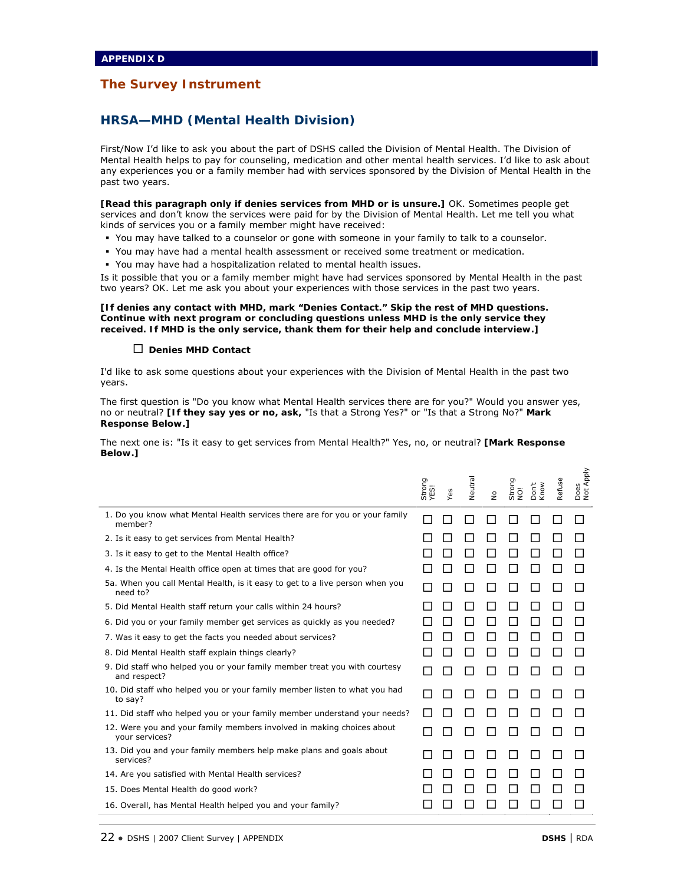## **HRSA—MHD (Mental Health Division)**

First/Now I'd like to ask you about the part of DSHS called the Division of Mental Health. The Division of Mental Health helps to pay for counseling, medication and other mental health services. I'd like to ask about any experiences you or a family member had with services sponsored by the Division of Mental Health in the past two years.

**[Read this paragraph only if denies services from MHD or is unsure.]** OK. Sometimes people get services and don't know the services were paid for by the Division of Mental Health. Let me tell you what kinds of services you or a family member might have received:

- You may have talked to a counselor or gone with someone in your family to talk to a counselor.
- You may have had a mental health assessment or received some treatment or medication.
- You may have had a hospitalization related to mental health issues.

Is it possible that you or a family member might have had services sponsored by Mental Health in the past two years? OK. Let me ask you about your experiences with those services in the past two years.

#### **[If denies any contact with MHD, mark "Denies Contact." Skip the rest of MHD questions. Continue with next program or concluding questions unless MHD is the only service they received. If MHD is the only service, thank them for their help and conclude interview.]**

#### **Denies MHD Contact**

I'd like to ask some questions about your experiences with the Division of Mental Health in the past two years.

The first question is "Do you know what Mental Health services there are for you?" Would you answer yes, no or neutral? **[If they say yes or no, ask,** "Is that a Strong Yes?" or "Is that a Strong No?" **Mark Response Below.]** 

The next one is: "Is it easy to get services from Mental Health?" Yes, no, or neutral? **[Mark Response Below.]** 

|                                                                                           | Strong<br>YESI | Yes | Neutral | $\stackrel{\mathtt{o}}{\mathtt{z}}$ | Strong<br>NO! | Don't<br>Know | Refuse | Apply<br>Does<br>Not A |
|-------------------------------------------------------------------------------------------|----------------|-----|---------|-------------------------------------|---------------|---------------|--------|------------------------|
| 1. Do you know what Mental Health services there are for you or your family<br>member?    |                |     |         |                                     |               |               |        |                        |
| 2. Is it easy to get services from Mental Health?                                         |                |     |         |                                     |               |               |        |                        |
| 3. Is it easy to get to the Mental Health office?                                         |                |     |         |                                     |               |               |        |                        |
| 4. Is the Mental Health office open at times that are good for you?                       |                |     |         |                                     |               |               |        |                        |
| 5a. When you call Mental Health, is it easy to get to a live person when you<br>need to?  |                |     |         |                                     |               |               |        |                        |
| 5. Did Mental Health staff return your calls within 24 hours?                             |                |     |         |                                     |               |               |        |                        |
| 6. Did you or your family member get services as quickly as you needed?                   |                |     |         |                                     |               |               |        |                        |
| 7. Was it easy to get the facts you needed about services?                                |                |     |         |                                     |               |               |        |                        |
| 8. Did Mental Health staff explain things clearly?                                        |                |     |         |                                     |               |               |        |                        |
| 9. Did staff who helped you or your family member treat you with courtesy<br>and respect? |                |     |         |                                     |               |               |        |                        |
| 10. Did staff who helped you or your family member listen to what you had<br>to say?      |                |     |         |                                     |               |               |        |                        |
| 11. Did staff who helped you or your family member understand your needs?                 |                |     |         |                                     |               |               |        |                        |
| 12. Were you and your family members involved in making choices about<br>your services?   |                |     |         |                                     |               |               |        |                        |
| 13. Did you and your family members help make plans and goals about<br>services?          |                |     |         |                                     |               |               |        |                        |
| 14. Are you satisfied with Mental Health services?                                        |                |     |         |                                     |               |               |        |                        |
| 15. Does Mental Health do good work?                                                      |                |     |         |                                     |               |               |        |                        |
| 16. Overall, has Mental Health helped you and your family?                                |                |     |         |                                     |               |               |        |                        |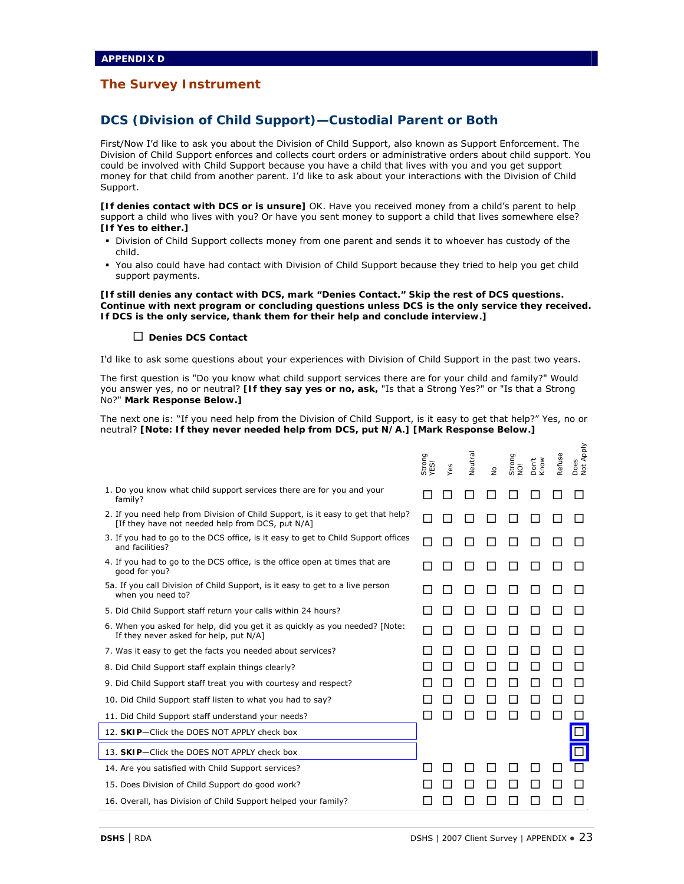## **DCS (Division of Child Support)—Custodial Parent or Both**

First/Now I'd like to ask you about the Division of Child Support, also known as Support Enforcement. The Division of Child Support enforces and collects court orders or administrative orders about child support. You could be involved with Child Support because you have a child that lives with you and you get support money for that child from another parent. I'd like to ask about your interactions with the Division of Child Support.

**[If denies contact with DCS or is unsure]** OK. Have you received money from a child's parent to help support a child who lives with you? Or have you sent money to support a child that lives somewhere else? **[If Yes to either.]**

- Division of Child Support collects money from one parent and sends it to whoever has custody of the child.
- You also could have had contact with Division of Child Support because they tried to help you get child support payments.

#### **[If still denies any contact with DCS, mark "Denies Contact." Skip the rest of DCS questions. Continue with next program or concluding questions unless DCS is the only service they received. If DCS is the only service, thank them for their help and conclude interview.]**

#### **Denies DCS Contact**

I'd like to ask some questions about your experiences with Division of Child Support in the past two years.

The first question is "Do you know what child support services there are for your child and family?" Would you answer yes, no or neutral? **[If they say yes or no, ask,** "Is that a Strong Yes?" or "Is that a Strong No?" **Mark Response Below.]** 

The next one is: "If you need help from the Division of Child Support, is it easy to get that help?" Yes, no or neutral? **[Note: If they never needed help from DCS, put N/A.] [Mark Response Below.]** 

|                                                                                                                                      | Strong<br>YES! | Yes | Neutral | $\frac{1}{2}$ | Strong<br>NO! | Don't<br>Know | Refuse | Does<br>Not Apply |
|--------------------------------------------------------------------------------------------------------------------------------------|----------------|-----|---------|---------------|---------------|---------------|--------|-------------------|
| 1. Do you know what child support services there are for you and your<br>family?                                                     |                |     |         |               |               |               |        |                   |
| 2. If you need help from Division of Child Support, is it easy to get that help?<br>[If they have not needed help from DCS, put N/A] |                |     |         |               |               |               |        |                   |
| 3. If you had to go to the DCS office, is it easy to get to Child Support offices<br>and facilities?                                 |                |     |         |               |               |               |        |                   |
| 4. If you had to go to the DCS office, is the office open at times that are<br>good for you?                                         |                |     |         |               |               |               |        |                   |
| 5a. If you call Division of Child Support, is it easy to get to a live person<br>when you need to?                                   |                |     |         |               |               |               |        |                   |
| 5. Did Child Support staff return your calls within 24 hours?                                                                        |                |     |         |               |               |               |        |                   |
| 6. When you asked for help, did you get it as quickly as you needed? [Note:<br>If they never asked for help, put N/A]                |                |     |         |               |               |               |        |                   |
| 7. Was it easy to get the facts you needed about services?                                                                           |                |     |         |               |               |               |        |                   |
| 8. Did Child Support staff explain things clearly?                                                                                   |                |     |         |               |               |               |        |                   |
| 9. Did Child Support staff treat you with courtesy and respect?                                                                      |                |     |         |               |               |               |        |                   |
| 10. Did Child Support staff listen to what you had to say?                                                                           |                |     |         |               |               |               |        |                   |
| 11. Did Child Support staff understand your needs?                                                                                   |                |     |         |               |               |               |        |                   |
| 12. SKIP-Click the DOES NOT APPLY check box                                                                                          |                |     |         |               |               |               |        |                   |
| 13. SKIP-Click the DOES NOT APPLY check box                                                                                          |                |     |         |               |               |               |        |                   |
| 14. Are you satisfied with Child Support services?                                                                                   |                |     |         |               |               |               |        |                   |
| 15. Does Division of Child Support do good work?                                                                                     |                |     |         |               |               |               |        |                   |
| 16. Overall, has Division of Child Support helped your family?                                                                       |                |     |         |               |               |               |        |                   |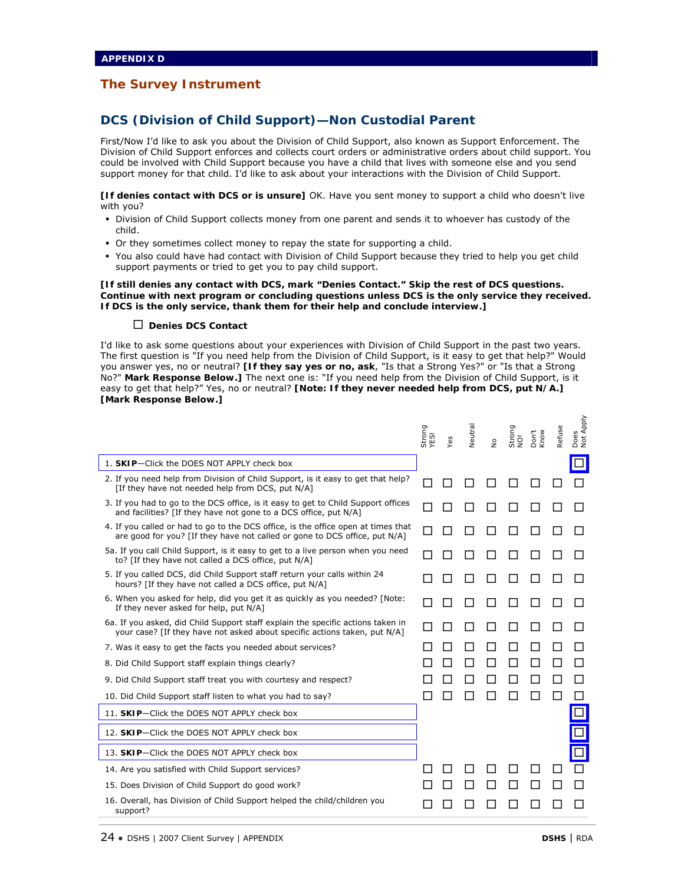## **DCS (Division of Child Support)—Non Custodial Parent**

First/Now I'd like to ask you about the Division of Child Support, also known as Support Enforcement. The Division of Child Support enforces and collects court orders or administrative orders about child support. You could be involved with Child Support because you have a child that lives with someone else and you send support money for that child. I'd like to ask about your interactions with the Division of Child Support.

**[If denies contact with DCS or is unsure]** OK. Have you sent money to support a child who doesn't live with you?

- Division of Child Support collects money from one parent and sends it to whoever has custody of the child.
- Or they sometimes collect money to repay the state for supporting a child.
- You also could have had contact with Division of Child Support because they tried to help you get child support payments or tried to get you to pay child support.

**[If still denies any contact with DCS, mark "Denies Contact." Skip the rest of DCS questions. Continue with next program or concluding questions unless DCS is the only service they received. If DCS is the only service, thank them for their help and conclude interview.]** 

#### **Denies DCS Contact**

I'd like to ask some questions about your experiences with Division of Child Support in the past two years. The first question is "If you need help from the Division of Child Support, is it easy to get that help?" Would you answer yes, no or neutral? **[If they say yes or no, ask**, "Is that a Strong Yes?" or "Is that a Strong No?" **Mark Response Below.]** The next one is: "If you need help from the Division of Child Support, is it easy to get that help?" Yes, no or neutral? **[Note: If they never needed help from DCS, put N/A.] [Mark Response Below.]** 

|                                                                                                                                                                 | Strong<br>YES! | Yes | Neutral | $\frac{1}{2}$ | Strong<br>NO! | Don't<br>Know | Refuse | Does<br>Not Apply |
|-----------------------------------------------------------------------------------------------------------------------------------------------------------------|----------------|-----|---------|---------------|---------------|---------------|--------|-------------------|
| 1. SKIP-Click the DOES NOT APPLY check box                                                                                                                      |                |     |         |               |               |               |        |                   |
| 2. If you need help from Division of Child Support, is it easy to get that help?<br>[If they have not needed help from DCS, put N/A]                            |                |     |         |               |               |               |        |                   |
| 3. If you had to go to the DCS office, is it easy to get to Child Support offices<br>and facilities? [If they have not gone to a DCS office, put N/A]           |                |     |         |               |               |               |        |                   |
| 4. If you called or had to go to the DCS office, is the office open at times that<br>are good for you? [If they have not called or gone to DCS office, put N/A] |                |     |         |               |               |               |        |                   |
| 5a. If you call Child Support, is it easy to get to a live person when you need<br>to? [If they have not called a DCS office, put N/A]                          |                |     |         |               |               |               |        |                   |
| 5. If you called DCS, did Child Support staff return your calls within 24<br>hours? [If they have not called a DCS office, put N/A]                             |                |     |         |               |               |               |        |                   |
| 6. When you asked for help, did you get it as quickly as you needed? [Note:<br>If they never asked for help, put N/A]                                           |                |     |         |               |               |               |        |                   |
| 6a. If you asked, did Child Support staff explain the specific actions taken in<br>your case? [If they have not asked about specific actions taken, put N/A]    |                |     |         |               |               |               |        |                   |
| 7. Was it easy to get the facts you needed about services?                                                                                                      |                |     |         |               |               |               |        |                   |
| 8. Did Child Support staff explain things clearly?                                                                                                              |                |     |         |               |               |               |        |                   |
| 9. Did Child Support staff treat you with courtesy and respect?                                                                                                 |                |     |         |               |               |               |        |                   |
| 10. Did Child Support staff listen to what you had to say?                                                                                                      |                |     |         |               |               |               |        |                   |
| 11. SKIP-Click the DOES NOT APPLY check box                                                                                                                     |                |     |         |               |               |               |        |                   |
| 12. SKIP-Click the DOES NOT APPLY check box                                                                                                                     |                |     |         |               |               |               |        |                   |
| 13. SKIP-Click the DOES NOT APPLY check box                                                                                                                     |                |     |         |               |               |               |        |                   |
| 14. Are you satisfied with Child Support services?                                                                                                              |                |     |         |               |               |               |        |                   |
| 15. Does Division of Child Support do good work?                                                                                                                |                |     |         |               |               |               |        |                   |
| 16. Overall, has Division of Child Support helped the child/children you<br>support?                                                                            |                |     |         |               |               |               |        |                   |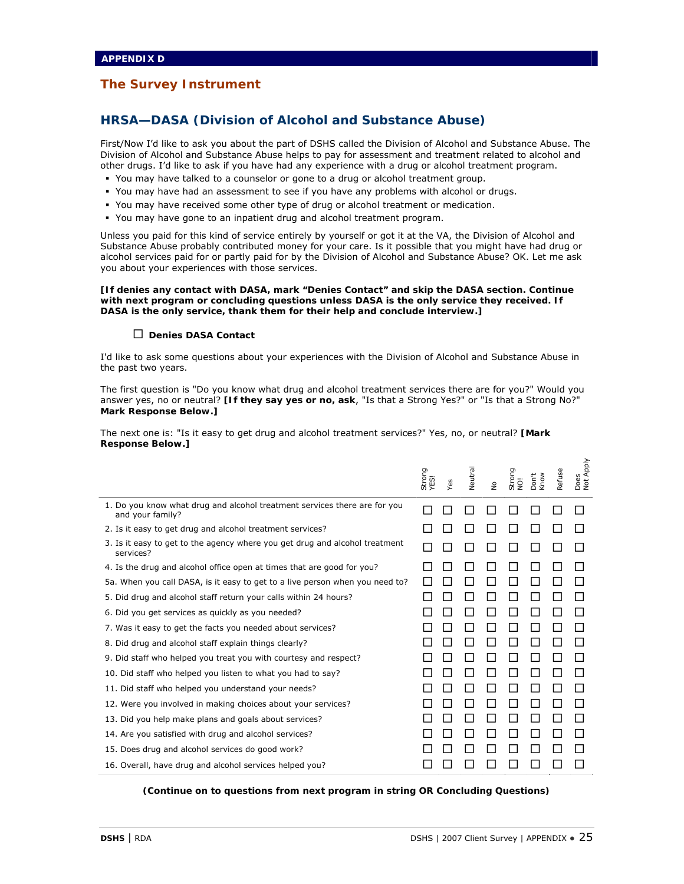## **HRSA—DASA (Division of Alcohol and Substance Abuse)**

First/Now I'd like to ask you about the part of DSHS called the Division of Alcohol and Substance Abuse. The Division of Alcohol and Substance Abuse helps to pay for assessment and treatment related to alcohol and other drugs. I'd like to ask if you have had any experience with a drug or alcohol treatment program.

- You may have talked to a counselor or gone to a drug or alcohol treatment group.
- You may have had an assessment to see if you have any problems with alcohol or drugs.
- You may have received some other type of drug or alcohol treatment or medication.
- You may have gone to an inpatient drug and alcohol treatment program.

Unless you paid for this kind of service entirely by yourself or got it at the VA, the Division of Alcohol and Substance Abuse probably contributed money for your care. Is it possible that you might have had drug or alcohol services paid for or partly paid for by the Division of Alcohol and Substance Abuse? OK. Let me ask you about your experiences with those services.

**[If denies any contact with DASA, mark "Denies Contact" and skip the DASA section. Continue with next program or concluding questions unless DASA is the only service they received. If DASA is the only service, thank them for their help and conclude interview.]** 

#### **Denies DASA Contact**

I'd like to ask some questions about your experiences with the Division of Alcohol and Substance Abuse in the past two years.

The first question is "Do you know what drug and alcohol treatment services there are for you?" Would you answer yes, no or neutral? **[If they say yes or no, ask**, "Is that a Strong Yes?" or "Is that a Strong No?" **Mark Response Below.]** 

The next one is: "Is it easy to get drug and alcohol treatment services?" Yes, no, or neutral? **[Mark Response Below.]** 

|                                                                                               | Strong<br>YES! | Yes | Neutral | $\stackrel{\mathtt{o}}{\mathtt{z}}$ | Strong<br>$\overline{Q}$ | Don't<br>Know | Refuse | Apply<br>Does<br>Not A |
|-----------------------------------------------------------------------------------------------|----------------|-----|---------|-------------------------------------|--------------------------|---------------|--------|------------------------|
| 1. Do you know what drug and alcohol treatment services there are for you<br>and your family? |                |     |         |                                     |                          |               |        |                        |
| 2. Is it easy to get drug and alcohol treatment services?                                     |                |     |         |                                     |                          |               |        |                        |
| 3. Is it easy to get to the agency where you get drug and alcohol treatment<br>services?      |                |     |         |                                     |                          |               |        |                        |
| 4. Is the drug and alcohol office open at times that are good for you?                        |                |     |         |                                     |                          |               |        |                        |
| 5a. When you call DASA, is it easy to get to a live person when you need to?                  |                |     |         |                                     |                          |               |        |                        |
| 5. Did drug and alcohol staff return your calls within 24 hours?                              |                |     |         |                                     |                          |               |        |                        |
| 6. Did you get services as guickly as you needed?                                             |                |     |         |                                     |                          |               |        |                        |
| 7. Was it easy to get the facts you needed about services?                                    |                |     |         |                                     |                          |               |        |                        |
| 8. Did drug and alcohol staff explain things clearly?                                         |                |     |         |                                     |                          |               |        |                        |
| 9. Did staff who helped you treat you with courtesy and respect?                              |                |     |         |                                     |                          |               |        |                        |
| 10. Did staff who helped you listen to what you had to say?                                   |                |     |         |                                     |                          |               |        |                        |
| 11. Did staff who helped you understand your needs?                                           |                |     |         |                                     |                          |               |        |                        |
| 12. Were you involved in making choices about your services?                                  |                |     |         |                                     |                          |               |        |                        |
| 13. Did you help make plans and goals about services?                                         |                |     |         |                                     |                          |               |        |                        |
| 14. Are you satisfied with drug and alcohol services?                                         |                |     |         |                                     |                          |               |        |                        |
| 15. Does drug and alcohol services do good work?                                              |                |     |         |                                     |                          |               |        |                        |
| 16. Overall, have drug and alcohol services helped you?                                       |                |     |         |                                     |                          |               |        |                        |

*(Continue on to questions from next program in string OR Concluding Questions)*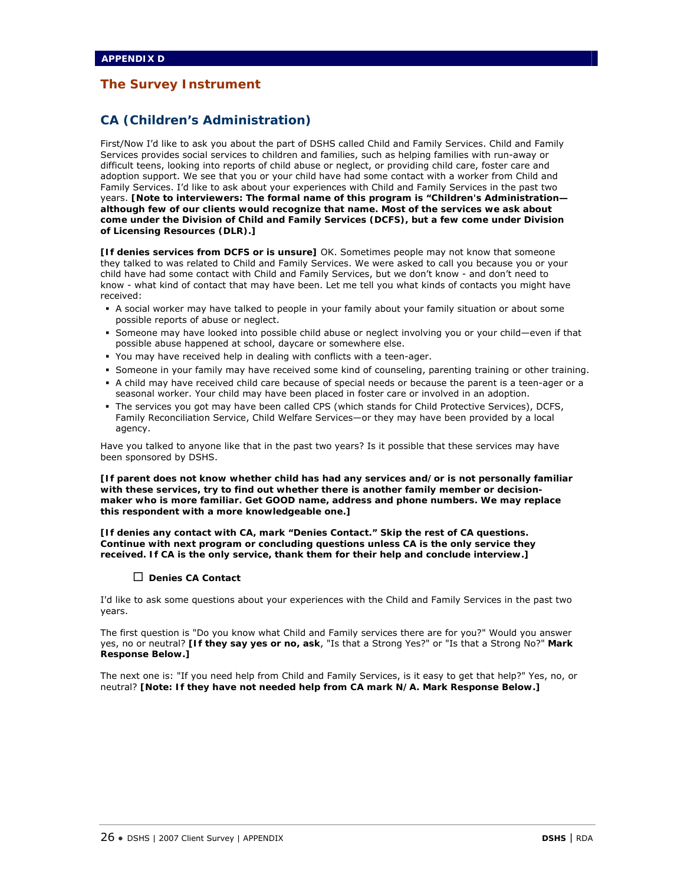## **CA (Children's Administration)**

First/Now I'd like to ask you about the part of DSHS called Child and Family Services. Child and Family Services provides social services to children and families, such as helping families with run-away or difficult teens, looking into reports of child abuse or neglect, or providing child care, foster care and adoption support. We see that you or your child have had some contact with a worker from Child and Family Services. I'd like to ask about your experiences with Child and Family Services in the past two years. **[Note to interviewers: The formal name of this program is "Children's Administration although few of our clients would recognize that name. Most of the services we ask about come under the Division of Child and Family Services (DCFS), but a few come under Division of Licensing Resources (DLR).]** 

**[If denies services from DCFS or is unsure]** OK. Sometimes people may not know that someone they talked to was related to Child and Family Services. We were asked to call you because you or your child have had some contact with Child and Family Services, but we don't know - and don't need to know - what kind of contact that may have been. Let me tell you what kinds of contacts you might have received:

- A social worker may have talked to people in your family about your family situation or about some possible reports of abuse or neglect.
- Someone may have looked into possible child abuse or neglect involving you or your child—even if that possible abuse happened at school, daycare or somewhere else.
- You may have received help in dealing with conflicts with a teen-ager.
- Someone in your family may have received some kind of counseling, parenting training or other training.
- A child may have received child care because of special needs or because the parent is a teen-ager or a seasonal worker. Your child may have been placed in foster care or involved in an adoption.
- The services you got may have been called CPS (which stands for Child Protective Services), DCFS, Family Reconciliation Service, Child Welfare Services—or they may have been provided by a local agency.

Have you talked to anyone like that in the past two years? Is it possible that these services may have been sponsored by DSHS.

**[If parent does not know whether child has had any services and/or is not personally familiar with these services, try to find out whether there is another family member or decisionmaker who is more familiar. Get GOOD name, address and phone numbers. We may replace this respondent with a more knowledgeable one.]** 

**[If denies any contact with CA, mark "Denies Contact." Skip the rest of CA questions. Continue with next program or concluding questions unless CA is the only service they received. If CA is the only service, thank them for their help and conclude interview.]** 

#### **Denies CA Contact**

I'd like to ask some questions about your experiences with the Child and Family Services in the past two years.

The first question is "Do you know what Child and Family services there are for you?" Would you answer yes, no or neutral? **[If they say yes or no, ask**, "Is that a Strong Yes?" or "Is that a Strong No?" **Mark Response Below.]** 

The next one is: "If you need help from Child and Family Services, is it easy to get that help?" Yes, no, or neutral? **[Note: If they have not needed help from CA mark N/A. Mark Response Below.]**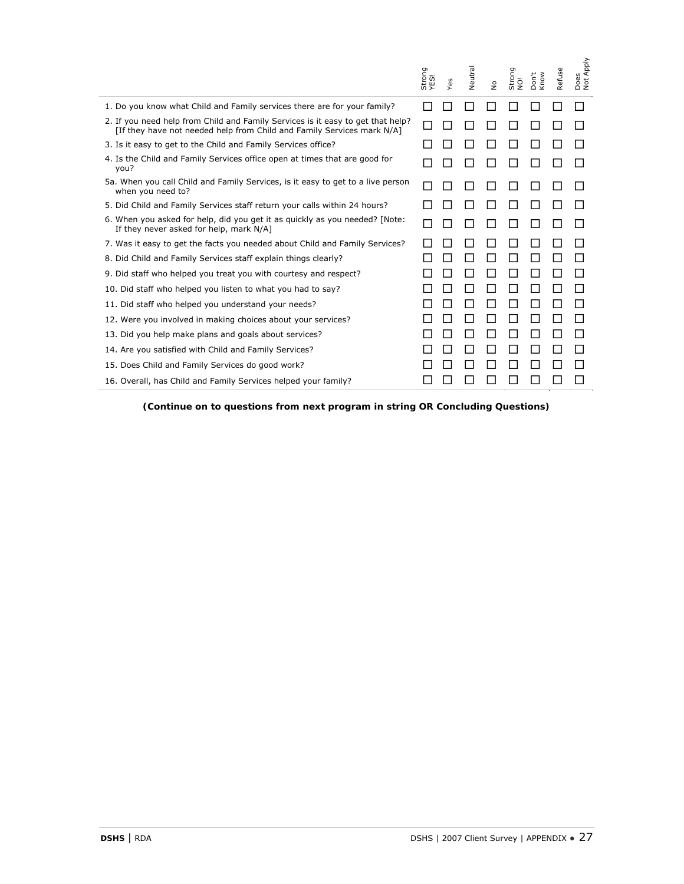|                                                                                                                                                           | Strong<br>YES! | Yes          | Neutral      | $\stackrel{\mathtt{o}}{\mathtt{g}}$ | Strong<br>NO! | Don't<br>Know | Refuse       | Does<br>Not Apply                         |
|-----------------------------------------------------------------------------------------------------------------------------------------------------------|----------------|--------------|--------------|-------------------------------------|---------------|---------------|--------------|-------------------------------------------|
| 1. Do you know what Child and Family services there are for your family?                                                                                  | П              | $\mathsf{L}$ | □            | $\Box$                              | П             | □             | $\mathsf{L}$ | П                                         |
| 2. If you need help from Child and Family Services is it easy to get that help?<br>[If they have not needed help from Child and Family Services mark N/A] | ΙI             | П            | П            | $\Box$                              | □             | $\Box$        | П            | П                                         |
| 3. Is it easy to get to the Child and Family Services office?                                                                                             |                | $\mathsf{L}$ | ΙI           | $\Box$                              | ப             | ப             | U            | H                                         |
| 4. Is the Child and Family Services office open at times that are good for<br>you?                                                                        |                |              |              | □                                   | ш             | ◘             | □            | $\mathsf{L}$                              |
| 5a. When you call Child and Family Services, is it easy to get to a live person<br>when you need to?                                                      |                | П            | $\Box$       | $\Box$                              | □             | Ш             | $\Box$       | $\mathsf{L}$                              |
| 5. Did Child and Family Services staff return your calls within 24 hours?                                                                                 |                |              | П            | $\Box$                              | $\Box$        | П             | П            | H                                         |
| 6. When you asked for help, did you get it as quickly as you needed? [Note:<br>If they never asked for help, mark N/A]                                    |                | П            | U            | $\Box$                              | ப             | ப             | U            | $\mathsf{L}$                              |
| 7. Was it easy to get the facts you needed about Child and Family Services?                                                                               |                | $\mathsf{L}$ | ĪΙ           | ப                                   | U             | $\mathsf{L}$  | Ш            | H                                         |
| 8. Did Child and Family Services staff explain things clearly?                                                                                            |                | H            | ΙI           | $\Box$                              | $\Box$        | П             | П            | П                                         |
| 9. Did staff who helped you treat you with courtesy and respect?                                                                                          |                |              | ΙI           | $\Box$                              | $\Box$        | ப             | П            | П                                         |
| 10. Did staff who helped you listen to what you had to say?                                                                                               |                | ΙI           | Ш            | $\Box$                              | □             | ш             | П            | $\Box$                                    |
| 11. Did staff who helped you understand your needs?                                                                                                       |                | П            | Ŋ            | □                                   | □             | Ш             | □            | П                                         |
| 12. Were you involved in making choices about your services?                                                                                              |                | П            | П            | $\Box$                              | □             | П             | □            | $\Box$                                    |
| 13. Did you help make plans and goals about services?                                                                                                     |                |              | U            | $\Box$                              | ப             | Ш             | П            | $\Box$                                    |
| 14. Are you satisfied with Child and Family Services?                                                                                                     |                | ⊔            | ப            | $\Box$                              | □             | □             | □            | $\Box$                                    |
| 15. Does Child and Family Services do good work?                                                                                                          |                |              |              | ப                                   | $\Box$        |               | $\Box$       | ⊔                                         |
| 16. Overall, has Child and Family Services helped your family?                                                                                            |                |              | $\mathsf{L}$ | П                                   | $\mathcal{L}$ | П             | П            | □                                         |
|                                                                                                                                                           |                |              |              |                                     |               |               |              |                                           |
| DSHS   RDA                                                                                                                                                |                |              |              |                                     |               |               |              | DSHS   2007 Client Survey   APPENDIX . 27 |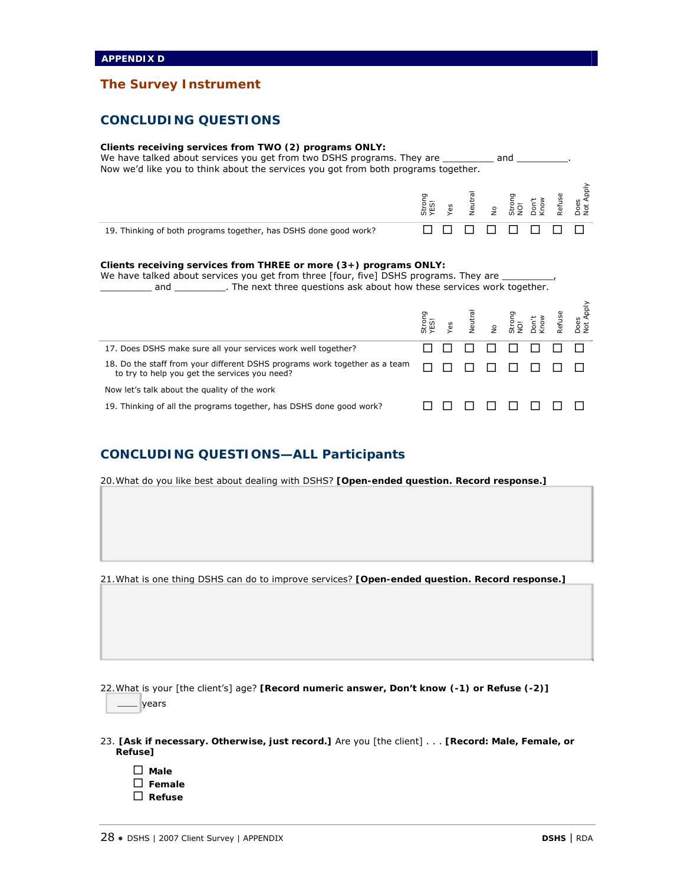## **CONCLUDING QUESTIONS**

#### **Clients receiving services from TWO (2) programs ONLY:**

We have talked about services you get from two DSHS programs. They are \_\_\_\_\_\_\_\_\_\_ and \_\_\_\_\_\_ Now we'd like you to think about the services you got from both programs together.

|                                                                  | 5 W | āΰ | $\circ$ | 8 S | <b>U)</b><br>۴Ć | Does<br>Vot A |
|------------------------------------------------------------------|-----|----|---------|-----|-----------------|---------------|
| 19. Thinking of both programs together, has DSHS done good work? |     |    |         |     |                 |               |

#### **Clients receiving services from THREE or more (3+) programs ONLY:**

We have talked about services you get from three [four, five] DSHS programs. They are **where and set of the next three questions ask about how these services work together.** 

|                                                                                                                             |  |  |  | Strong<br>YES!<br>Yes Neutral<br>No Don't Refuse<br>Cont Refuse<br>Refuse Refuse Not Apply |
|-----------------------------------------------------------------------------------------------------------------------------|--|--|--|--------------------------------------------------------------------------------------------|
| 17. Does DSHS make sure all your services work well together?                                                               |  |  |  |                                                                                            |
| 18. Do the staff from your different DSHS programs work together as a team<br>to try to help you get the services you need? |  |  |  |                                                                                            |
| Now let's talk about the quality of the work                                                                                |  |  |  |                                                                                            |
| 19. Thinking of all the programs together, has DSHS done good work?                                                         |  |  |  |                                                                                            |

## **CONCLUDING QUESTIONS—ALL Participants**

20.What do you like best about dealing with DSHS? **[Open-ended question. Record response.]**

21.What is one thing DSHS can do to improve services? **[Open-ended question. Record response.]**

22.What is your [the client's] age? **[Record numeric answer, Don't know (-1) or Refuse (-2)]**

\_\_\_\_ years

- 23. **[Ask if necessary. Otherwise, just record.]** Are you [the client] . . . **[Record: Male, Female, or Refuse]**
	- **Male Female Refuse**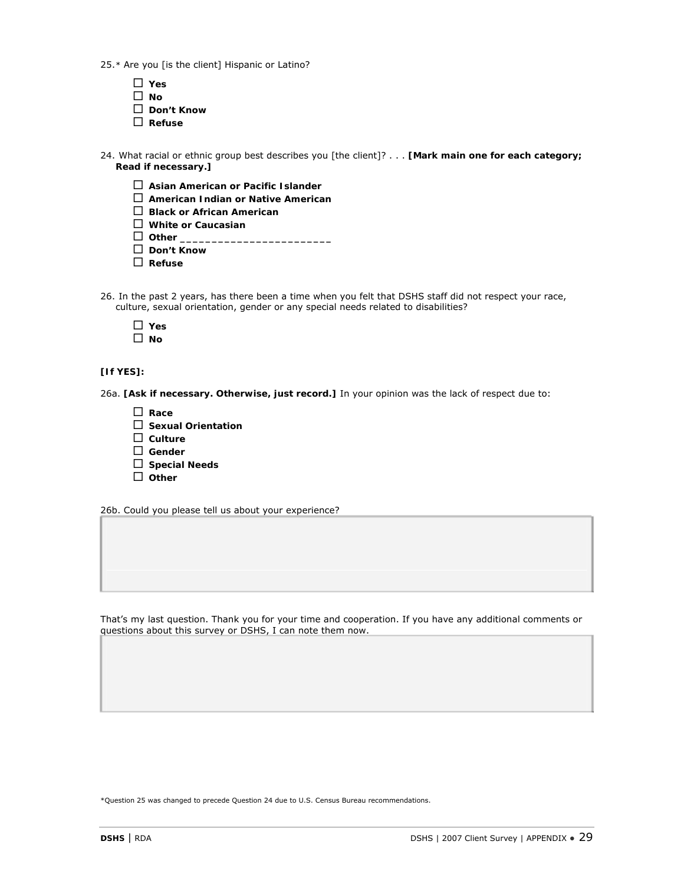25.\* Are you [is the client] Hispanic or Latino?

- **Yes No Don't Know Refuse**
- 24. What racial or ethnic group best describes you [the client]? . . . **[Mark main one for each category; Read if necessary.]**
	- **Asian American or Pacific Islander**
	- **American Indian or Native American**
	- **Black or African American**
	- **White or Caucasian**
	- $\Box$  Other  $\Box$
	- **Don't Know**
	- **Refuse**
- 26. In the past 2 years, has there been a time when you felt that DSHS staff did not respect your race, culture, sexual orientation, gender or any special needs related to disabilities?

| v  |
|----|
| חו |

## **[If YES]:**

26a. **[Ask if necessary. Otherwise, just record.]** In your opinion was the lack of respect due to:

 **Race Sexual Orientation Culture Gender Special Needs Other**

26b. Could you please tell us about your experience?

That's my last question. Thank you for your time and cooperation. If you have any additional comments or questions about this survey or DSHS, I can note them now.

\*Question 25 was changed to precede Question 24 due to U.S. Census Bureau recommendations.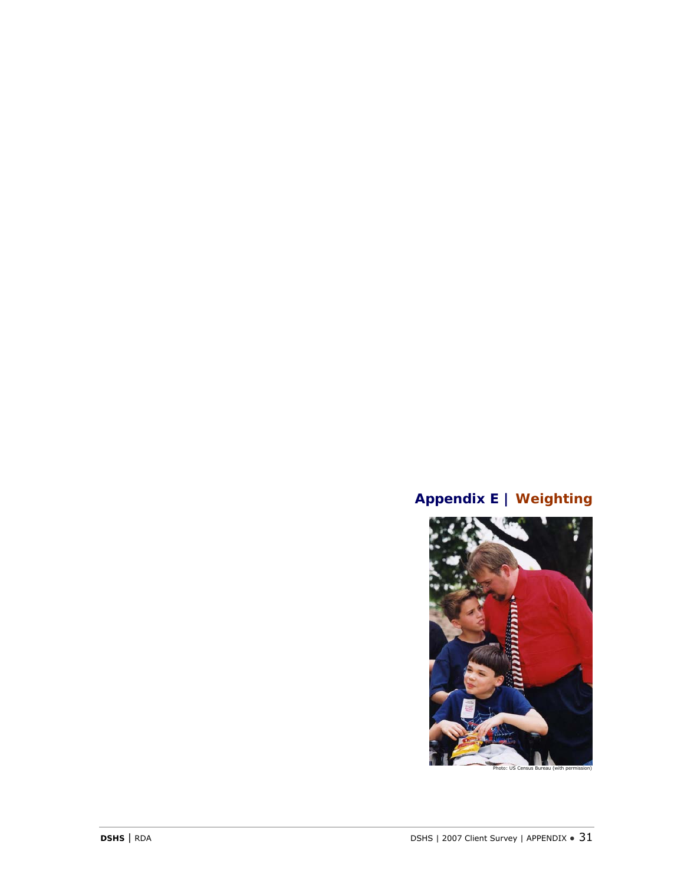## **Appendix E | Weighting**

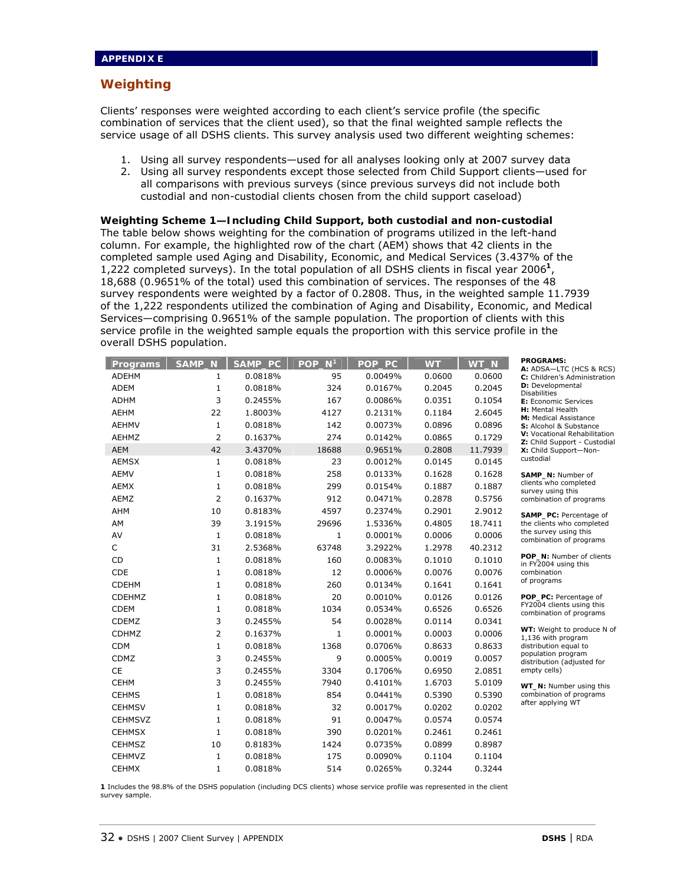## **Weighting**

Clients' responses were weighted according to each client's service profile (the specific combination of services that the client used), so that the final weighted sample reflects the service usage of all DSHS clients. This survey analysis used two different weighting schemes:

- 1. Using all survey respondents—used for all analyses looking only at 2007 survey data
- 2. Using all survey respondents except those selected from Child Support clients—used for all comparisons with previous surveys (since previous surveys did not include both custodial and non-custodial clients chosen from the child support caseload)

**Weighting Scheme 1—Including Child Support, both custodial and non-custodial**  The table below shows weighting for the combination of programs utilized in the left-hand column. For example, the highlighted row of the chart (AEM) shows that 42 clients in the completed sample used Aging and Disability, Economic, and Medical Services (3.437% of the 1,222 completed surveys). In the total population of all DSHS clients in fiscal year 2006**<sup>1</sup>**, 18,688 (0.9651% of the total) used this combination of services. The responses of the 48 survey respondents were weighted by a factor of 0.2808. Thus, in the weighted sample 11.7939 of the 1,222 respondents utilized the combination of Aging and Disability, Economic, and Medical Services—comprising 0.9651% of the sample population. The proportion of clients with this service profile in the weighted sample equals the proportion with this service profile in the overall DSHS population.

| Programs       | <b>SAMP</b><br>N. | SAMP_PC | N <sup>1</sup><br><b>POP</b> | POP_PC  | <b>WT</b> | WT_N    | <b>PROGRAMS:</b><br>A: ADSA-LTC (HCS & RCS)                  |
|----------------|-------------------|---------|------------------------------|---------|-----------|---------|--------------------------------------------------------------|
| <b>ADEHM</b>   | 1                 | 0.0818% | 95                           | 0.0049% | 0.0600    | 0.0600  | C: Children's Administration                                 |
| <b>ADEM</b>    | 1                 | 0.0818% | 324                          | 0.0167% | 0.2045    | 0.2045  | D: Developmental<br><b>Disabilities</b>                      |
| <b>ADHM</b>    | 3                 | 0.2455% | 167                          | 0.0086% | 0.0351    | 0.1054  | E: Economic Services                                         |
| <b>AEHM</b>    | 22                | 1.8003% | 4127                         | 0.2131% | 0.1184    | 2.6045  | H: Mental Health<br>M: Medical Assistance                    |
| <b>AEHMV</b>   | 1                 | 0.0818% | 142                          | 0.0073% | 0.0896    | 0.0896  | S: Alcohol & Substance                                       |
| <b>AEHMZ</b>   | 2                 | 0.1637% | 274                          | 0.0142% | 0.0865    | 0.1729  | V: Vocational Rehabilitation<br>Z: Child Support - Custodial |
| <b>AEM</b>     | 42                | 3.4370% | 18688                        | 0.9651% | 0.2808    | 11.7939 | X: Child Support-Non-                                        |
| <b>AEMSX</b>   | $\mathbf{1}$      | 0.0818% | 23                           | 0.0012% | 0.0145    | 0.0145  | custodial                                                    |
| <b>AEMV</b>    | 1                 | 0.0818% | 258                          | 0.0133% | 0.1628    | 0.1628  | SAMP_N: Number of                                            |
| <b>AEMX</b>    | 1                 | 0.0818% | 299                          | 0.0154% | 0.1887    | 0.1887  | clients who completed<br>survey using this                   |
| AEMZ           | 2                 | 0.1637% | 912                          | 0.0471% | 0.2878    | 0.5756  | combination of programs                                      |
| AHM            | 10                | 0.8183% | 4597                         | 0.2374% | 0.2901    | 2.9012  | SAMP_PC: Percentage of                                       |
| AM             | 39                | 3.1915% | 29696                        | 1.5336% | 0.4805    | 18.7411 | the clients who completed                                    |
| AV             | 1                 | 0.0818% | $\mathbf 1$                  | 0.0001% | 0.0006    | 0.0006  | the survey using this<br>combination of programs             |
| C              | 31                | 2.5368% | 63748                        | 3.2922% | 1.2978    | 40.2312 |                                                              |
| CD             | $\mathbf{1}$      | 0.0818% | 160                          | 0.0083% | 0.1010    | 0.1010  | POP_N: Number of clients<br>in FY2004 using this             |
| <b>CDE</b>     | $\mathbf{1}$      | 0.0818% | 12                           | 0.0006% | 0.0076    | 0.0076  | combination                                                  |
| <b>CDEHM</b>   | 1                 | 0.0818% | 260                          | 0.0134% | 0.1641    | 0.1641  | of programs                                                  |
| <b>CDEHMZ</b>  | 1                 | 0.0818% | 20                           | 0.0010% | 0.0126    | 0.0126  | <b>POP_PC: Percentage of</b>                                 |
| <b>CDEM</b>    | 1                 | 0.0818% | 1034                         | 0.0534% | 0.6526    | 0.6526  | FY2004 clients using this<br>combination of programs         |
| CDEMZ          | 3                 | 0.2455% | 54                           | 0.0028% | 0.0114    | 0.0341  |                                                              |
| <b>CDHMZ</b>   | 2                 | 0.1637% | 1                            | 0.0001% | 0.0003    | 0.0006  | WT: Weight to produce N of<br>1,136 with program             |
| <b>CDM</b>     | $\mathbf 1$       | 0.0818% | 1368                         | 0.0706% | 0.8633    | 0.8633  | distribution equal to                                        |
| CDMZ           | 3                 | 0.2455% | 9                            | 0.0005% | 0.0019    | 0.0057  | population program<br>distribution (adjusted for             |
| <b>CE</b>      | 3                 | 0.2455% | 3304                         | 0.1706% | 0.6950    | 2.0851  | empty cells)                                                 |
| <b>CEHM</b>    | 3                 | 0.2455% | 7940                         | 0.4101% | 1.6703    | 5.0109  | WT_N: Number using this                                      |
| <b>CEHMS</b>   | $\mathbf 1$       | 0.0818% | 854                          | 0.0441% | 0.5390    | 0.5390  | combination of programs                                      |
| <b>CEHMSV</b>  | $\mathbf{1}$      | 0.0818% | 32                           | 0.0017% | 0.0202    | 0.0202  | after applying WT                                            |
| <b>CEHMSVZ</b> | $\mathbf 1$       | 0.0818% | 91                           | 0.0047% | 0.0574    | 0.0574  |                                                              |
| <b>CEHMSX</b>  | $\mathbf{1}$      | 0.0818% | 390                          | 0.0201% | 0.2461    | 0.2461  |                                                              |
| <b>CEHMSZ</b>  | 10                | 0.8183% | 1424                         | 0.0735% | 0.0899    | 0.8987  |                                                              |
| <b>CEHMVZ</b>  | $\mathbf{1}$      | 0.0818% | 175                          | 0.0090% | 0.1104    | 0.1104  |                                                              |
| <b>CEHMX</b>   | 1                 | 0.0818% | 514                          | 0.0265% | 0.3244    | 0.3244  |                                                              |

**1** Includes the 98.8% of the DSHS population (including DCS clients) whose service profile was represented in the client survey sample.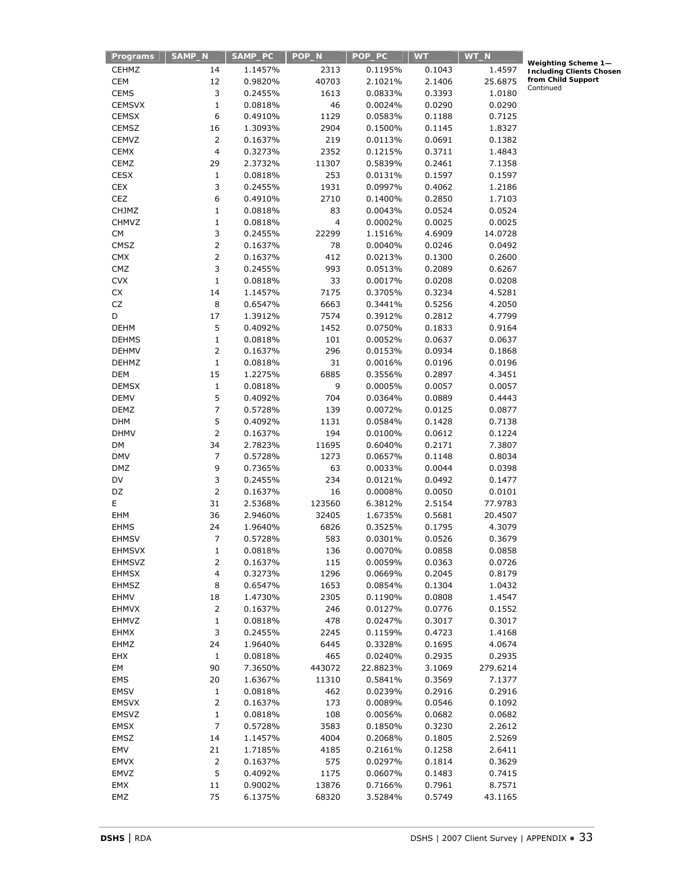| Programs      | SAMP_N                  | SAMP_PC | POP_N  | POP_PC   | <b>WT</b> | WT_N     |                        |
|---------------|-------------------------|---------|--------|----------|-----------|----------|------------------------|
| <b>CEHMZ</b>  | 14                      | 1.1457% | 2313   | 0.1195%  | 0.1043    | 1.4597   | Weighting<br>Including |
| <b>CEM</b>    | 12                      | 0.9820% | 40703  | 2.1021%  | 2.1406    | 25.6875  | from Child             |
| <b>CEMS</b>   | 3                       | 0.2455% | 1613   | 0.0833%  | 0.3393    | 1.0180   | Continued              |
| <b>CEMSVX</b> | $\mathbf{1}$            | 0.0818% | 46     | 0.0024%  | 0.0290    | 0.0290   |                        |
| <b>CEMSX</b>  | 6                       | 0.4910% | 1129   | 0.0583%  | 0.1188    | 0.7125   |                        |
| CEMSZ         | 16                      | 1.3093% | 2904   | 0.1500%  | 0.1145    | 1.8327   |                        |
| CEMVZ         | $\overline{2}$          | 0.1637% | 219    | 0.0113%  | 0.0691    | 0.1382   |                        |
| <b>CEMX</b>   | $\overline{\mathbf{4}}$ | 0.3273% | 2352   | 0.1215%  | 0.3711    | 1.4843   |                        |
| CEMZ          | 29                      | 2.3732% | 11307  | 0.5839%  | 0.2461    | 7.1358   |                        |
| <b>CESX</b>   | 1                       | 0.0818% | 253    | 0.0131%  | 0.1597    | 0.1597   |                        |
| <b>CEX</b>    | 3                       | 0.2455% | 1931   | 0.0997%  | 0.4062    | 1.2186   |                        |
| CEZ           | 6                       | 0.4910% | 2710   | 0.1400%  | 0.2850    | 1.7103   |                        |
| <b>CHJMZ</b>  | $\mathbf{1}$            | 0.0818% | 83     | 0.0043%  | 0.0524    | 0.0524   |                        |
| CHMVZ         | $\mathbf 1$             | 0.0818% | 4      | 0.0002%  | 0.0025    | 0.0025   |                        |
| <b>CM</b>     | 3                       | 0.2455% | 22299  | 1.1516%  | 4.6909    | 14.0728  |                        |
| CMSZ          | $\mathsf{2}\,$          | 0.1637% | 78     | 0.0040%  | 0.0246    | 0.0492   |                        |
| <b>CMX</b>    | $\overline{2}$          | 0.1637% | 412    | 0.0213%  | 0.1300    | 0.2600   |                        |
| CMZ           | 3                       | 0.2455% | 993    | 0.0513%  | 0.2089    | 0.6267   |                        |
| <b>CVX</b>    | $\mathbf 1$             | 0.0818% | 33     | 0.0017%  | 0.0208    | 0.0208   |                        |
| CX            | 14                      | 1.1457% | 7175   | 0.3705%  | 0.3234    | 4.5281   |                        |
| CZ            | 8                       | 0.6547% | 6663   | 0.3441%  | 0.5256    | 4.2050   |                        |
| D             | 17                      | 1.3912% | 7574   | 0.3912%  | 0.2812    | 4.7799   |                        |
| <b>DEHM</b>   | 5                       | 0.4092% | 1452   | 0.0750%  | 0.1833    | 0.9164   |                        |
| <b>DEHMS</b>  | $\mathbf 1$             | 0.0818% | 101    | 0.0052%  | 0.0637    | 0.0637   |                        |
| <b>DEHMV</b>  | 2                       | 0.1637% | 296    | 0.0153%  | 0.0934    | 0.1868   |                        |
| <b>DEHMZ</b>  | $\mathbf 1$             | 0.0818% | 31     | 0.0016%  | 0.0196    | 0.0196   |                        |
| <b>DEM</b>    | 15                      | 1.2275% | 6885   | 0.3556%  | 0.2897    | 4.3451   |                        |
| <b>DEMSX</b>  | $\mathbf 1$             | 0.0818% | 9      | 0.0005%  | 0.0057    | 0.0057   |                        |
| <b>DEMV</b>   | 5                       | 0.4092% | 704    | 0.0364%  | 0.0889    | 0.4443   |                        |
| DEMZ          | 7                       | 0.5728% | 139    | 0.0072%  | 0.0125    | 0.0877   |                        |
| <b>DHM</b>    | 5                       | 0.4092% | 1131   | 0.0584%  | 0.1428    | 0.7138   |                        |
| <b>DHMV</b>   | $\overline{2}$          | 0.1637% | 194    | 0.0100%  | 0.0612    | 0.1224   |                        |
| DM            | 34                      | 2.7823% | 11695  | 0.6040%  | 0.2171    | 7.3807   |                        |
| <b>DMV</b>    | 7                       | 0.5728% | 1273   | 0.0657%  | 0.1148    | 0.8034   |                        |
| <b>DMZ</b>    | 9                       | 0.7365% | 63     | 0.0033%  | 0.0044    | 0.0398   |                        |
| DV            | 3                       | 0.2455% | 234    | 0.0121%  | 0.0492    | 0.1477   |                        |
| DZ            | $\overline{2}$          | 0.1637% | 16     | 0.0008%  | 0.0050    | 0.0101   |                        |
| E             | 31                      | 2.5368% | 123560 | 6.3812%  | 2.5154    | 77.9783  |                        |
| EHM           | 36                      | 2.9460% | 32405  | 1.6735%  | 0.5681    | 20.4507  |                        |
| <b>EHMS</b>   | 24                      | 1.9640% | 6826   | 0.3525%  | 0.1795    | 4.3079   |                        |
| <b>EHMSV</b>  | 7                       | 0.5728% | 583    | 0.0301%  | 0.0526    | 0.3679   |                        |
| EHMSVX        | 1                       | 0.0818% | 136    | 0.0070%  | 0.0858    | 0.0858   |                        |
| <b>EHMSVZ</b> | $\overline{2}$          | 0.1637% | 115    | 0.0059%  | 0.0363    | 0.0726   |                        |
| <b>EHMSX</b>  | 4                       | 0.3273% | 1296   | 0.0669%  | 0.2045    | 0.8179   |                        |
| <b>EHMSZ</b>  | 8                       | 0.6547% | 1653   | 0.0854%  | 0.1304    | 1.0432   |                        |
| <b>EHMV</b>   | 18                      | 1.4730% | 2305   | 0.1190%  | 0.0808    | 1.4547   |                        |
| <b>EHMVX</b>  | $\overline{2}$          | 0.1637% | 246    | 0.0127%  | 0.0776    | 0.1552   |                        |
| EHMVZ         | 1                       | 0.0818% | 478    | 0.0247%  | 0.3017    | 0.3017   |                        |
| <b>EHMX</b>   | 3                       | 0.2455% | 2245   | 0.1159%  | 0.4723    | 1.4168   |                        |
| EHMZ          | 24                      | 1.9640% | 6445   | 0.3328%  | 0.1695    | 4.0674   |                        |
| EHX           | $\mathbf{1}$            | 0.0818% | 465    | 0.0240%  | 0.2935    | 0.2935   |                        |
| EM            | 90                      | 7.3650% | 443072 | 22.8823% | 3.1069    | 279.6214 |                        |
| EMS           | 20                      | 1.6367% | 11310  | 0.5841%  | 0.3569    | 7.1377   |                        |
| <b>EMSV</b>   | 1                       | 0.0818% | 462    | 0.0239%  | 0.2916    | 0.2916   |                        |
| <b>EMSVX</b>  | $\overline{2}$          | 0.1637% | 173    | 0.0089%  | 0.0546    | 0.1092   |                        |
| <b>EMSVZ</b>  | $\mathbf 1$             | 0.0818% | 108    | 0.0056%  | 0.0682    | 0.0682   |                        |
| <b>EMSX</b>   | $\overline{7}$          | 0.5728% | 3583   | 0.1850%  | 0.3230    | 2.2612   |                        |
| EMSZ          | 14                      | 1.1457% | 4004   | 0.2068%  | 0.1805    | 2.5269   |                        |
| EMV           | 21                      | 1.7185% | 4185   | 0.2161%  | 0.1258    | 2.6411   |                        |
| <b>EMVX</b>   | 2                       | 0.1637% | 575    | 0.0297%  | 0.1814    | 0.3629   |                        |
| EMVZ          | 5                       | 0.4092% | 1175   | 0.0607%  | 0.1483    | 0.7415   |                        |
| EMX           | 11                      | 0.9002% | 13876  | 0.7166%  | 0.7961    | 8.7571   |                        |
| EMZ           | 75                      | 6.1375% | 68320  | 3.5284%  | 0.5749    | 43.1165  |                        |
|               |                         |         |        |          |           |          |                        |

**Weighting Scheme 1— Including Clients Chosen from Child Support**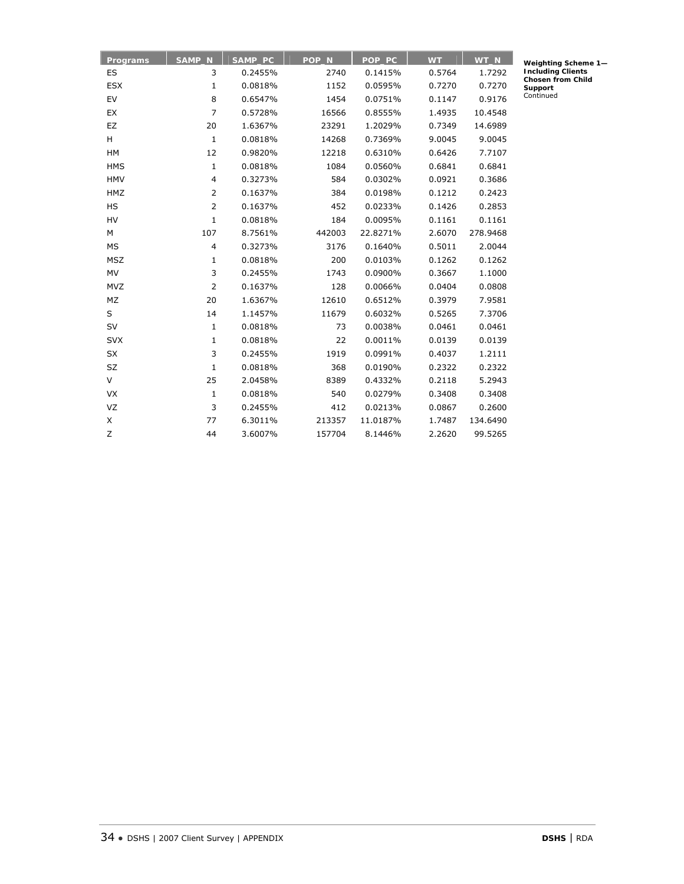| Programs   | SAMP_N         | SAMP_PC | POP_N  | POP_PC   | <b>WT</b> | WT_N     |
|------------|----------------|---------|--------|----------|-----------|----------|
| ES         | 3              | 0.2455% | 2740   | 0.1415%  | 0.5764    | 1.7292   |
| <b>ESX</b> | $\mathbf 1$    | 0.0818% | 1152   | 0.0595%  | 0.7270    | 0.7270   |
| EV         | 8              | 0.6547% | 1454   | 0.0751%  | 0.1147    | 0.9176   |
| EX         | $\overline{7}$ | 0.5728% | 16566  | 0.8555%  | 1.4935    | 10.4548  |
| EZ         | 20             | 1.6367% | 23291  | 1.2029%  | 0.7349    | 14.6989  |
| H          | $\mathbf{1}$   | 0.0818% | 14268  | 0.7369%  | 9.0045    | 9.0045   |
| HM         | 12             | 0.9820% | 12218  | 0.6310%  | 0.6426    | 7.7107   |
| <b>HMS</b> | $\mathbf{1}$   | 0.0818% | 1084   | 0.0560%  | 0.6841    | 0.6841   |
| <b>HMV</b> | 4              | 0.3273% | 584    | 0.0302%  | 0.0921    | 0.3686   |
| HMZ        | 2              | 0.1637% | 384    | 0.0198%  | 0.1212    | 0.2423   |
| <b>HS</b>  | $\overline{2}$ | 0.1637% | 452    | 0.0233%  | 0.1426    | 0.2853   |
| <b>HV</b>  | $\mathbf{1}$   | 0.0818% | 184    | 0.0095%  | 0.1161    | 0.1161   |
| М          | 107            | 8.7561% | 442003 | 22.8271% | 2.6070    | 278.9468 |
| MS         | $\overline{4}$ | 0.3273% | 3176   | 0.1640%  | 0.5011    | 2.0044   |
| <b>MSZ</b> | $\mathbf{1}$   | 0.0818% | 200    | 0.0103%  | 0.1262    | 0.1262   |
| <b>MV</b>  | 3              | 0.2455% | 1743   | 0.0900%  | 0.3667    | 1.1000   |
| <b>MVZ</b> | 2              | 0.1637% | 128    | 0.0066%  | 0.0404    | 0.0808   |
| MZ         | 20             | 1.6367% | 12610  | 0.6512%  | 0.3979    | 7.9581   |
| S          | 14             | 1.1457% | 11679  | 0.6032%  | 0.5265    | 7.3706   |
| SV         | $\mathbf 1$    | 0.0818% | 73     | 0.0038%  | 0.0461    | 0.0461   |
| <b>SVX</b> | $\mathbf{1}$   | 0.0818% | 22     | 0.0011%  | 0.0139    | 0.0139   |
| <b>SX</b>  | 3              | 0.2455% | 1919   | 0.0991%  | 0.4037    | 1.2111   |
| SZ         | $\mathbf{1}$   | 0.0818% | 368    | 0.0190%  | 0.2322    | 0.2322   |
| V          | 25             | 2.0458% | 8389   | 0.4332%  | 0.2118    | 5.2943   |
| <b>VX</b>  | $\mathbf{1}$   | 0.0818% | 540    | 0.0279%  | 0.3408    | 0.3408   |
| VZ         | 3              | 0.2455% | 412    | 0.0213%  | 0.0867    | 0.2600   |
| X          | 77             | 6.3011% | 213357 | 11.0187% | 1.7487    | 134.6490 |
| Ζ          | 44             | 3.6007% | 157704 | 8.1446%  | 2.2620    | 99.5265  |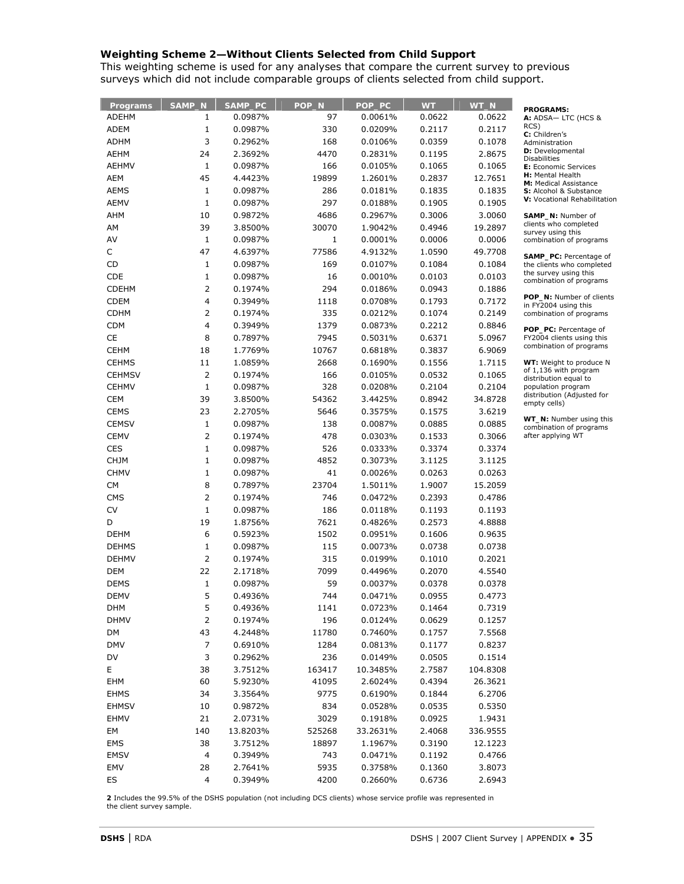## **Weighting Scheme 2—Without Clients Selected from Child Support**

This weighting scheme is used for any analyses that compare the current survey to previous surveys which did not include comparable groups of clients selected from child support.

| Programs      | SAMP_N                  | SAMP_PC  | POP_N        | POP_PC   | <b>WT</b> | WT_N     | <b>PROGRAMS:</b>                                     |
|---------------|-------------------------|----------|--------------|----------|-----------|----------|------------------------------------------------------|
| ADEHM         | 1                       | 0.0987%  | 97           | 0.0061%  | 0.0622    | 0.0622   | A: ADSA-LTC (HCS &                                   |
| ADEM          | $\mathbf{1}$            | 0.0987%  | 330          | 0.0209%  | 0.2117    | 0.2117   | RCS)<br>C: Children's                                |
| ADHM          | 3                       | 0.2962%  | 168          | 0.0106%  | 0.0359    | 0.1078   | Administration                                       |
| <b>AEHM</b>   | 24                      | 2.3692%  | 4470         | 0.2831%  | 0.1195    | 2.8675   | D: Developmental<br><b>Disabilities</b>              |
| <b>AEHMV</b>  | $\mathbf{1}$            | 0.0987%  | 166          | 0.0105%  | 0.1065    | 0.1065   | E: Economic Services                                 |
| AEM           | 45                      | 4.4423%  | 19899        | 1.2601%  | 0.2837    | 12.7651  | H: Mental Health                                     |
| <b>AEMS</b>   | 1                       | 0.0987%  | 286          | 0.0181%  | 0.1835    | 0.1835   | M: Medical Assistance<br>S: Alcohol & Substance      |
| AEMV          | $\mathbf{1}$            | 0.0987%  | 297          | 0.0188%  | 0.1905    | 0.1905   | V: Vocational Rehabilitation                         |
| AHM           | 10                      | 0.9872%  | 4686         | 0.2967%  | 0.3006    | 3.0060   | SAMP_N: Number of                                    |
| AM            | 39                      | 3.8500%  | 30070        | 1.9042%  | 0.4946    | 19.2897  | clients who completed                                |
| AV            | $\mathbf{1}$            | 0.0987%  | $\mathbf{1}$ | 0.0001%  | 0.0006    | 0.0006   | survey using this<br>combination of programs         |
| C             | 47                      | 4.6397%  | 77586        | 4.9132%  | 1.0590    | 49.7708  |                                                      |
| CD            | 1                       | 0.0987%  | 169          | 0.0107%  | 0.1084    | 0.1084   | SAMP_PC: Percentage of<br>the clients who completed  |
| CDE           | 1                       | 0.0987%  | 16           | 0.0010%  | 0.0103    | 0.0103   | the survey using this                                |
| <b>CDEHM</b>  | 2                       |          | 294          |          | 0.0943    | 0.1886   | combination of programs                              |
|               | 4                       | 0.1974%  |              | 0.0186%  |           |          | POP_N: Number of clients                             |
| <b>CDEM</b>   | 2                       | 0.3949%  | 1118         | 0.0708%  | 0.1793    | 0.7172   | in FY2004 using this                                 |
| <b>CDHM</b>   |                         | 0.1974%  | 335          | 0.0212%  | 0.1074    | 0.2149   | combination of programs                              |
| <b>CDM</b>    | 4                       | 0.3949%  | 1379         | 0.0873%  | 0.2212    | 0.8846   | POP_PC: Percentage of                                |
| CE            | 8                       | 0.7897%  | 7945         | 0.5031%  | 0.6371    | 5.0967   | FY2004 clients using this<br>combination of programs |
| <b>CEHM</b>   | 18                      | 1.7769%  | 10767        | 0.6818%  | 0.3837    | 6.9069   |                                                      |
| <b>CEHMS</b>  | 11                      | 1.0859%  | 2668         | 0.1690%  | 0.1556    | 1.7115   | WT: Weight to produce N<br>of 1,136 with program     |
| <b>CEHMSV</b> | 2                       | 0.1974%  | 166          | 0.0105%  | 0.0532    | 0.1065   | distribution equal to                                |
| <b>CEHMV</b>  | $\mathbf{1}$            | 0.0987%  | 328          | 0.0208%  | 0.2104    | 0.2104   | population program<br>distribution (Adjusted for     |
| <b>CEM</b>    | 39                      | 3.8500%  | 54362        | 3.4425%  | 0.8942    | 34.8728  | empty cells)                                         |
| <b>CEMS</b>   | 23                      | 2.2705%  | 5646         | 0.3575%  | 0.1575    | 3.6219   |                                                      |
| <b>CEMSV</b>  | 1                       | 0.0987%  | 138          | 0.0087%  | 0.0885    | 0.0885   | WT_N: Number using this<br>combination of programs   |
| <b>CEMV</b>   | 2                       | 0.1974%  | 478          | 0.0303%  | 0.1533    | 0.3066   | after applying WT                                    |
| <b>CES</b>    | $\mathbf{1}$            | 0.0987%  | 526          | 0.0333%  | 0.3374    | 0.3374   |                                                      |
| <b>CHJM</b>   | $\mathbf 1$             | 0.0987%  | 4852         | 0.3073%  | 3.1125    | 3.1125   |                                                      |
| <b>CHMV</b>   | $\mathbf{1}$            | 0.0987%  | 41           | 0.0026%  | 0.0263    | 0.0263   |                                                      |
| <b>CM</b>     | 8                       | 0.7897%  | 23704        | 1.5011%  | 1.9007    | 15.2059  |                                                      |
| <b>CMS</b>    | 2                       | 0.1974%  | 746          | 0.0472%  | 0.2393    | 0.4786   |                                                      |
| CV            | $\mathbf{1}$            | 0.0987%  | 186          | 0.0118%  | 0.1193    | 0.1193   |                                                      |
| D             | 19                      | 1.8756%  | 7621         | 0.4826%  | 0.2573    | 4.8888   |                                                      |
| <b>DEHM</b>   | 6                       | 0.5923%  | 1502         | 0.0951%  | 0.1606    | 0.9635   |                                                      |
| <b>DEHMS</b>  | 1                       | 0.0987%  | 115          | 0.0073%  | 0.0738    | 0.0738   |                                                      |
| <b>DEHMV</b>  | 2                       | 0.1974%  | 315          | 0.0199%  | 0.1010    | 0.2021   |                                                      |
| DEM           | 22                      | 2.1718%  | 7099         | 0.4496%  | 0.2070    | 4.5540   |                                                      |
| <b>DEMS</b>   | 1                       | 0.0987%  | 59           | 0.0037%  | 0.0378    | 0.0378   |                                                      |
| <b>DEMV</b>   | 5                       | 0.4936%  | 744          | 0.0471%  | 0.0955    | 0.4773   |                                                      |
| <b>DHM</b>    | 5                       | 0.4936%  | 1141         | 0.0723%  | 0.1464    | 0.7319   |                                                      |
| <b>DHMV</b>   | 2                       | 0.1974%  | 196          | 0.0124%  | 0.0629    | 0.1257   |                                                      |
| DM            | 43                      | 4.2448%  | 11780        | 0.7460%  | 0.1757    | 7.5568   |                                                      |
| <b>DMV</b>    | 7                       | 0.6910%  | 1284         | 0.0813%  | 0.1177    | 0.8237   |                                                      |
| DV            | 3                       | 0.2962%  | 236          | 0.0149%  | 0.0505    | 0.1514   |                                                      |
| E.            | 38                      | 3.7512%  | 163417       | 10.3485% | 2.7587    | 104.8308 |                                                      |
| EHM           | 60                      | 5.9230%  | 41095        | 2.6024%  | 0.4394    | 26.3621  |                                                      |
| <b>EHMS</b>   | 34                      | 3.3564%  | 9775         | 0.6190%  | 0.1844    | 6.2706   |                                                      |
| <b>EHMSV</b>  | 10                      | 0.9872%  | 834          | 0.0528%  | 0.0535    | 0.5350   |                                                      |
| EHMV          | 21                      | 2.0731%  | 3029         | 0.1918%  | 0.0925    | 1.9431   |                                                      |
|               | 140                     | 13.8203% | 525268       | 33.2631% |           |          |                                                      |
| EM            |                         |          |              |          | 2.4068    | 336.9555 |                                                      |
| EMS           | 38                      | 3.7512%  | 18897        | 1.1967%  | 0.3190    | 12.1223  |                                                      |
| <b>EMSV</b>   | 4                       | 0.3949%  | 743          | 0.0471%  | 0.1192    | 0.4766   |                                                      |
| EMV           | 28                      | 2.7641%  | 5935         | 0.3758%  | 0.1360    | 3.8073   |                                                      |
| ES            | $\overline{\mathbf{4}}$ | 0.3949%  | 4200         | 0.2660%  | 0.6736    | 2.6943   |                                                      |

**2** Includes the 99.5% of the DSHS population (not including DCS clients) whose service profile was represented in the client survey sample.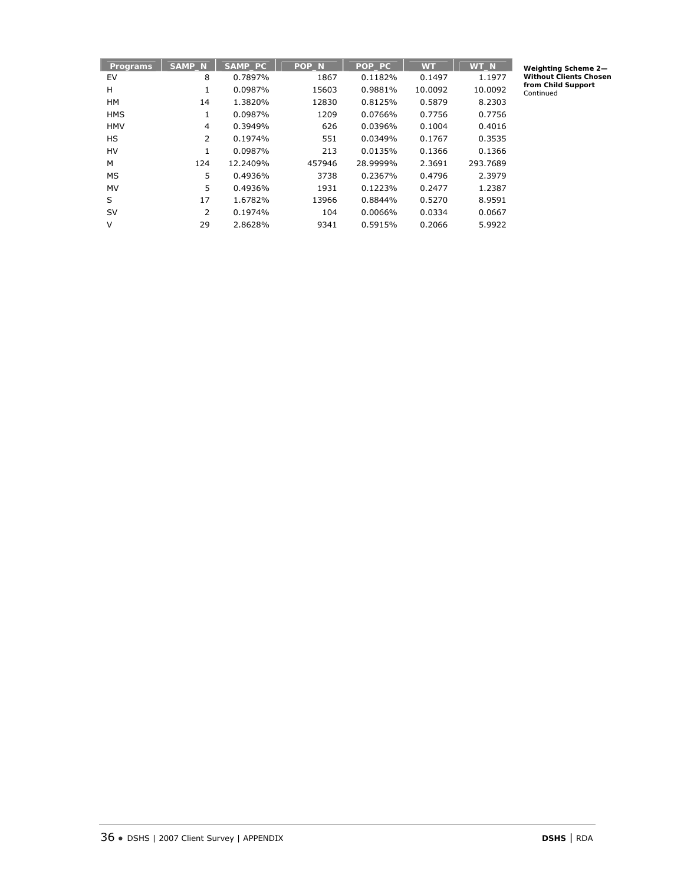| <b>Programs</b> | <b>SAMP N</b>  | SAMP PC  | POP <sub>N</sub> | POP PC   | <b>WT</b> | WT <sub>N</sub> |
|-----------------|----------------|----------|------------------|----------|-----------|-----------------|
| EV              | 8              | 0.7897%  | 1867             | 0.1182%  | 0.1497    | 1.1977          |
| н               | 1              | 0.0987%  | 15603            | 0.9881%  | 10.0092   | 10.0092         |
| <b>HM</b>       | 14             | 1.3820%  | 12830            | 0.8125%  | 0.5879    | 8.2303          |
| <b>HMS</b>      | 1              | 0.0987%  | 1209             | 0.0766%  | 0.7756    | 0.7756          |
| <b>HMV</b>      | $\overline{4}$ | 0.3949%  | 626              | 0.0396%  | 0.1004    | 0.4016          |
| HS              | 2              | 0.1974%  | 551              | 0.0349%  | 0.1767    | 0.3535          |
| HV              | 1              | 0.0987%  | 213              | 0.0135%  | 0.1366    | 0.1366          |
| М               | 124            | 12.2409% | 457946           | 28.9999% | 2.3691    | 293.7689        |
| MS              | 5              | 0.4936%  | 3738             | 0.2367%  | 0.4796    | 2.3979          |
| MV              | 5              | 0.4936%  | 1931             | 0.1223%  | 0.2477    | 1.2387          |
| S               | 17             | 1.6782%  | 13966            | 0.8844%  | 0.5270    | 8.9591          |
| <b>SV</b>       | 2              | 0.1974%  | 104              | 0.0066%  | 0.0334    | 0.0667          |
| V               | 29             | 2.8628%  | 9341             | 0.5915%  | 0.2066    | 5.9922          |

**Weighting Scheme 2— Without Clients Chosen from Child Support** Continued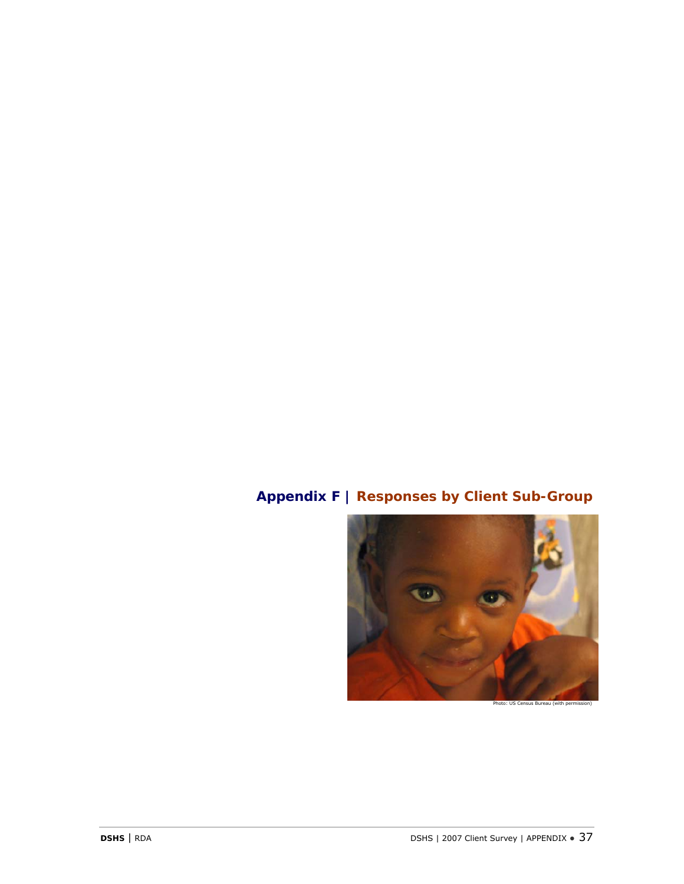# **Appendix F | Responses by Client Sub-Group**

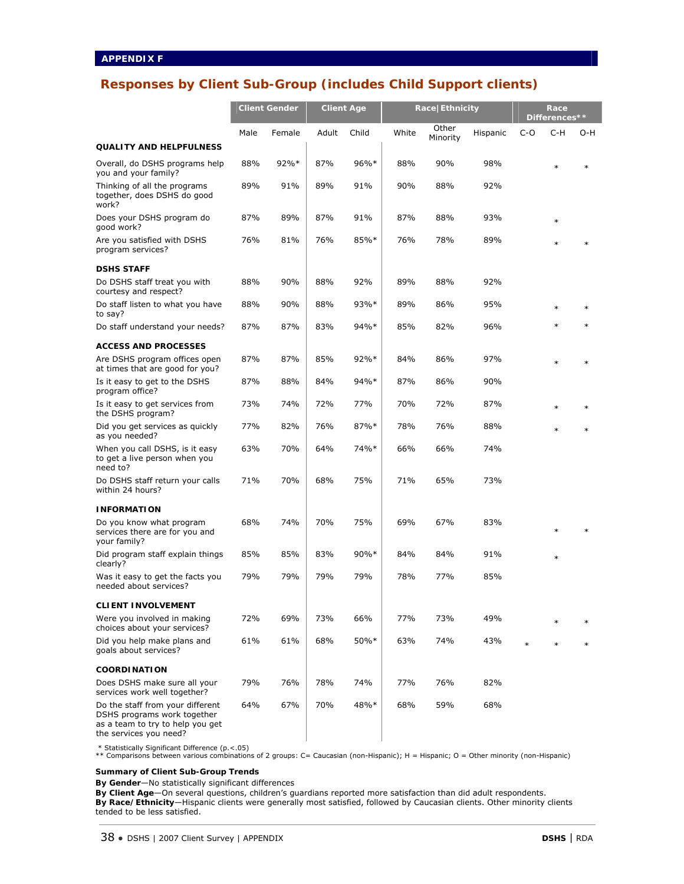## **Responses by Client Sub-Group (includes Child Support clients)**

|                                                                                                                               | <b>Client Gender</b> |         | <b>Client Age</b> |         | Race Ethnicity |                   |          | Race<br>Differences** |        |        |
|-------------------------------------------------------------------------------------------------------------------------------|----------------------|---------|-------------------|---------|----------------|-------------------|----------|-----------------------|--------|--------|
|                                                                                                                               | Male                 | Female  | Adult             | Child   | White          | Other<br>Minority | Hispanic | $C-O$                 | C-H    | O-H    |
| <b>QUALITY AND HELPFULNESS</b>                                                                                                |                      |         |                   |         |                |                   |          |                       |        |        |
| Overall, do DSHS programs help<br>you and your family?                                                                        | 88%                  | $92%$ * | 87%               | 96%*    | 88%            | 90%               | 98%      |                       | $\ast$ | $\ast$ |
| Thinking of all the programs<br>together, does DSHS do good<br>work?                                                          | 89%                  | 91%     | 89%               | 91%     | 90%            | 88%               | 92%      |                       |        |        |
| Does your DSHS program do<br>good work?                                                                                       | 87%                  | 89%     | 87%               | 91%     | 87%            | 88%               | 93%      |                       | $\ast$ |        |
| Are you satisfied with DSHS<br>program services?                                                                              | 76%                  | 81%     | 76%               | 85%*    | 76%            | 78%               | 89%      |                       | $\ast$ | $\ast$ |
| <b>DSHS STAFF</b>                                                                                                             |                      |         |                   |         |                |                   |          |                       |        |        |
| Do DSHS staff treat you with<br>courtesy and respect?                                                                         | 88%                  | 90%     | 88%               | 92%     | 89%            | 88%               | 92%      |                       |        |        |
| Do staff listen to what you have<br>to say?                                                                                   | 88%                  | 90%     | 88%               | 93%*    | 89%            | 86%               | 95%      |                       | $\ast$ | $\ast$ |
| Do staff understand your needs?                                                                                               | 87%                  | 87%     | 83%               | 94%*    | 85%            | 82%               | 96%      |                       | $\ast$ | $\ast$ |
| <b>ACCESS AND PROCESSES</b>                                                                                                   |                      |         |                   |         |                |                   |          |                       |        |        |
| Are DSHS program offices open<br>at times that are good for you?                                                              | 87%                  | 87%     | 85%               | $92\%*$ | 84%            | 86%               | 97%      |                       | $\ast$ | $\ast$ |
| Is it easy to get to the DSHS<br>program office?                                                                              | 87%                  | 88%     | 84%               | 94%*    | 87%            | 86%               | 90%      |                       |        |        |
| Is it easy to get services from<br>the DSHS program?                                                                          | 73%                  | 74%     | 72%               | 77%     | 70%            | 72%               | 87%      |                       |        |        |
| Did you get services as quickly<br>as you needed?                                                                             | 77%                  | 82%     | 76%               | 87%*    | 78%            | 76%               | 88%      |                       | $\ast$ | $\ast$ |
| When you call DSHS, is it easy<br>to get a live person when you<br>need to?                                                   | 63%                  | 70%     | 64%               | 74%*    | 66%            | 66%               | 74%      |                       |        |        |
| Do DSHS staff return your calls<br>within 24 hours?                                                                           | 71%                  | 70%     | 68%               | 75%     | 71%            | 65%               | 73%      |                       |        |        |
| <b>INFORMATION</b>                                                                                                            |                      |         |                   |         |                |                   |          |                       |        |        |
| Do you know what program<br>services there are for you and<br>your family?                                                    | 68%                  | 74%     | 70%               | 75%     | 69%            | 67%               | 83%      |                       | $\ast$ | $\ast$ |
| Did program staff explain things<br>clearly?                                                                                  | 85%                  | 85%     | 83%               | $90\%*$ | 84%            | 84%               | 91%      |                       | $\ast$ |        |
| Was it easy to get the facts you<br>needed about services?                                                                    | 79%                  | 79%     | 79%               | 79%     | 78%            | 77%               | 85%      |                       |        |        |
| <b>CLIENT INVOLVEMENT</b>                                                                                                     |                      |         |                   |         |                |                   |          |                       |        |        |
| Were you involved in making<br>choices about your services?                                                                   | 72%                  | 69%     | 73%               | 66%     | 77%            | 73%               | 49%      |                       |        |        |
| Did you help make plans and<br>goals about services?                                                                          | 61%                  | 61%     | 68%               | 50%*    | 63%            | 74%               | 43%      | $\ast$                |        | $\ast$ |
| <b>COORDINATION</b>                                                                                                           |                      |         |                   |         |                |                   |          |                       |        |        |
| Does DSHS make sure all your<br>services work well together?                                                                  | 79%                  | 76%     | 78%               | 74%     | 77%            | 76%               | 82%      |                       |        |        |
| Do the staff from your different<br>DSHS programs work together<br>as a team to try to help you get<br>the services you need? | 64%                  | 67%     | 70%               | 48%*    | 68%            | 59%               | 68%      |                       |        |        |

\* Statistically Significant Difference (p.<.05) \*\* Comparisons between various combinations of 2 groups: C= Caucasian (non-Hispanic); H = Hispanic; O = Other minority (non-Hispanic)

**Summary of Client Sub-Group Trends** 

**By Gender**—No statistically significant differences

**By Client Age**—On several questions, children's guardians reported more satisfaction than did adult respondents. **By Race/Ethnicity**—Hispanic clients were generally most satisfied, followed by Caucasian clients. Other minority clients tended to be less satisfied.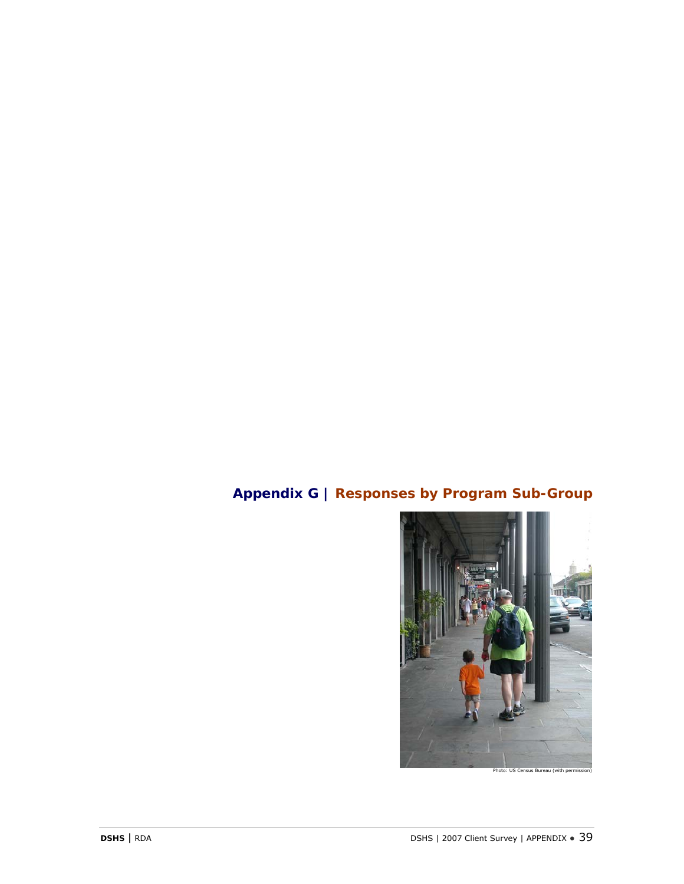# **Appendix G | Responses by Program Sub-Group**

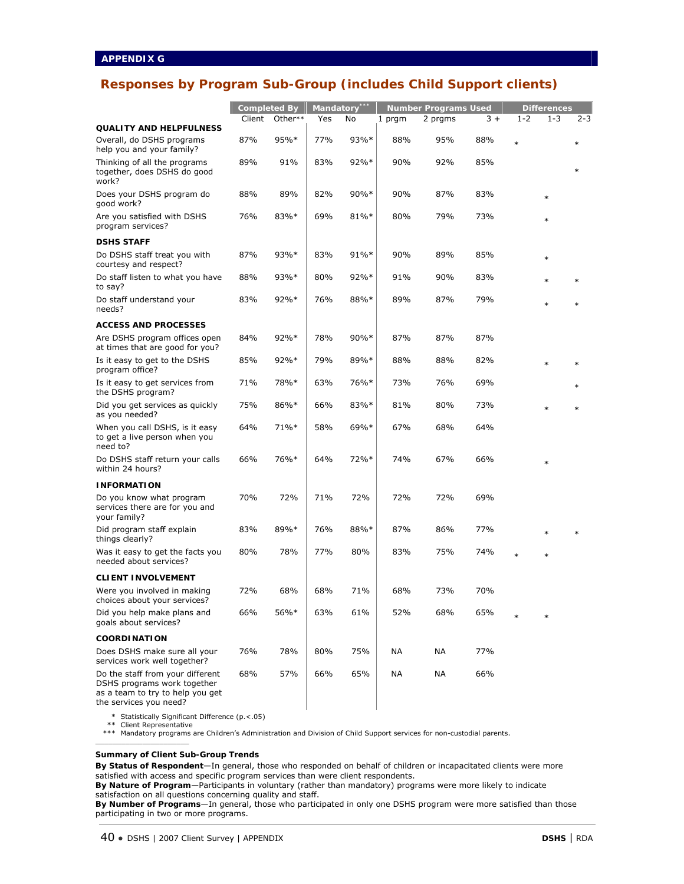## **Responses by Program Sub-Group (includes Child Support clients)**

|                                                                                                                               | <b>Completed By</b> |         | Mandatory*** |      | <b>Number Programs Used</b> |         |      | <b>Differences</b> |         |        |
|-------------------------------------------------------------------------------------------------------------------------------|---------------------|---------|--------------|------|-----------------------------|---------|------|--------------------|---------|--------|
|                                                                                                                               | Client              | Other** | Yes          | No   | 1 prgm                      | 2 prgms | $3+$ | $1 - 2$            | $1 - 3$ | 2-3    |
| <b>QUALITY AND HELPFULNESS</b><br>Overall, do DSHS programs                                                                   | 87%                 | 95%*    | 77%          | 93%* | 88%                         | 95%     | 88%  |                    |         |        |
| help you and your family?                                                                                                     |                     |         |              |      |                             |         |      | $\ast$             |         | $\ast$ |
| Thinking of all the programs<br>together, does DSHS do good<br>work?                                                          | 89%                 | 91%     | 83%          | 92%* | 90%                         | 92%     | 85%  |                    |         | $\ast$ |
| Does your DSHS program do<br>good work?                                                                                       | 88%                 | 89%     | 82%          | 90%* | 90%                         | 87%     | 83%  |                    | $\ast$  |        |
| Are you satisfied with DSHS<br>program services?                                                                              | 76%                 | 83%*    | 69%          | 81%* | 80%                         | 79%     | 73%  |                    | $\ast$  |        |
| <b>DSHS STAFF</b>                                                                                                             |                     |         |              |      |                             |         |      |                    |         |        |
| Do DSHS staff treat you with<br>courtesy and respect?                                                                         | 87%                 | $93%*$  | 83%          | 91%* | 90%                         | 89%     | 85%  |                    | $\ast$  |        |
| Do staff listen to what you have<br>to say?                                                                                   | 88%                 | 93%*    | 80%          | 92%* | 91%                         | 90%     | 83%  |                    | $\ast$  | $\ast$ |
| Do staff understand your<br>needs?                                                                                            | 83%                 | $92\%*$ | 76%          | 88%* | 89%                         | 87%     | 79%  |                    | $\ast$  | $\ast$ |
| <b>ACCESS AND PROCESSES</b>                                                                                                   |                     |         |              |      |                             |         |      |                    |         |        |
| Are DSHS program offices open<br>at times that are good for you?                                                              | 84%                 | $92\%*$ | 78%          | 90%* | 87%                         | 87%     | 87%  |                    |         |        |
| Is it easy to get to the DSHS<br>program office?                                                                              | 85%                 | $92\%*$ | 79%          | 89%* | 88%                         | 88%     | 82%  |                    | $\ast$  | $\ast$ |
| Is it easy to get services from<br>the DSHS program?                                                                          | 71%                 | 78%*    | 63%          | 76%* | 73%                         | 76%     | 69%  |                    |         | $\ast$ |
| Did you get services as quickly<br>as you needed?                                                                             | 75%                 | 86%*    | 66%          | 83%* | 81%                         | 80%     | 73%  |                    | $\ast$  |        |
| When you call DSHS, is it easy<br>to get a live person when you<br>need to?                                                   | 64%                 | 71%*    | 58%          | 69%* | 67%                         | 68%     | 64%  |                    |         |        |
| Do DSHS staff return your calls<br>within 24 hours?                                                                           | 66%                 | 76%*    | 64%          | 72%* | 74%                         | 67%     | 66%  |                    | $\ast$  |        |
| <b>INFORMATION</b>                                                                                                            |                     |         |              |      |                             |         |      |                    |         |        |
| Do you know what program<br>services there are for you and<br>your family?                                                    | 70%                 | 72%     | 71%          | 72%  | 72%                         | 72%     | 69%  |                    |         |        |
| Did program staff explain<br>things clearly?                                                                                  | 83%                 | 89%*    | 76%          | 88%* | 87%                         | 86%     | 77%  |                    | $\ast$  | $\ast$ |
| Was it easy to get the facts you<br>needed about services?                                                                    | 80%                 | 78%     | 77%          | 80%  | 83%                         | 75%     | 74%  | $\ast$             | $\ast$  |        |
| <b>CLIENT INVOLVEMENT</b>                                                                                                     |                     |         |              |      |                             |         |      |                    |         |        |
| Were you involved in making<br>choices about your services?                                                                   | 72%                 | 68%     | 68%          | 71%  | 68%                         | 73%     | 70%  |                    |         |        |
| Did you help make plans and<br>goals about services?                                                                          | 66%                 | 56%*    | 63%          | 61%  | 52%                         | 68%     | 65%  |                    |         |        |
| <b>COORDINATION</b>                                                                                                           |                     |         |              |      |                             |         |      |                    |         |        |
| Does DSHS make sure all your<br>services work well together?                                                                  | 76%                 | 78%     | 80%          | 75%  | NА                          | ΝA      | 77%  |                    |         |        |
| Do the staff from your different<br>DSHS programs work together<br>as a team to try to help you get<br>the services you need? | 68%                 | 57%     | 66%          | 65%  | NА                          | NA      | 66%  |                    |         |        |

\* Statistically Significant Difference (p.<.05)

\*\* Client Representative

\_\_\_\_\_\_\_\_\_\_\_\_\_\_\_\_\_\_\_\_\_\_

\*\*\* Mandatory programs are Children's Administration and Division of Child Support services for non-custodial parents.

**Summary of Client Sub-Group Trends** 

**By Status of Respondent**—In general, those who responded on behalf of children or incapacitated clients were more satisfied with access and specific program services than were client respondents.

**By Nature of Program**—Participants in voluntary (rather than mandatory) programs were more likely to indicate satisfaction on all questions concerning quality and staff.

**By Number of Programs**—In general, those who participated in only one DSHS program were more satisfied than those participating in two or more programs.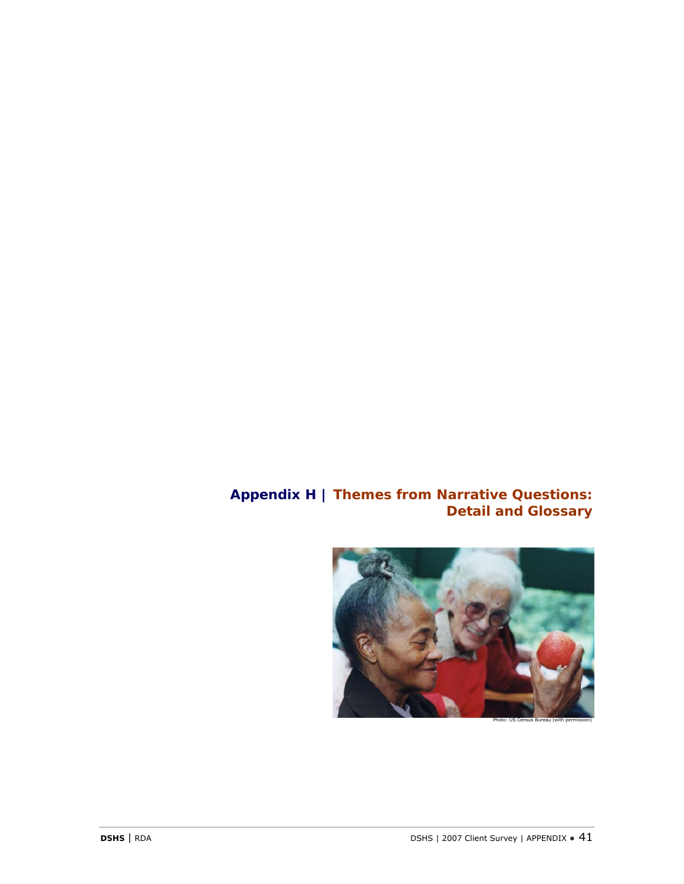## **Appendix H | Themes from Narrative Questions: Detail and Glossary**



Photo: US Census Bureau (with permission)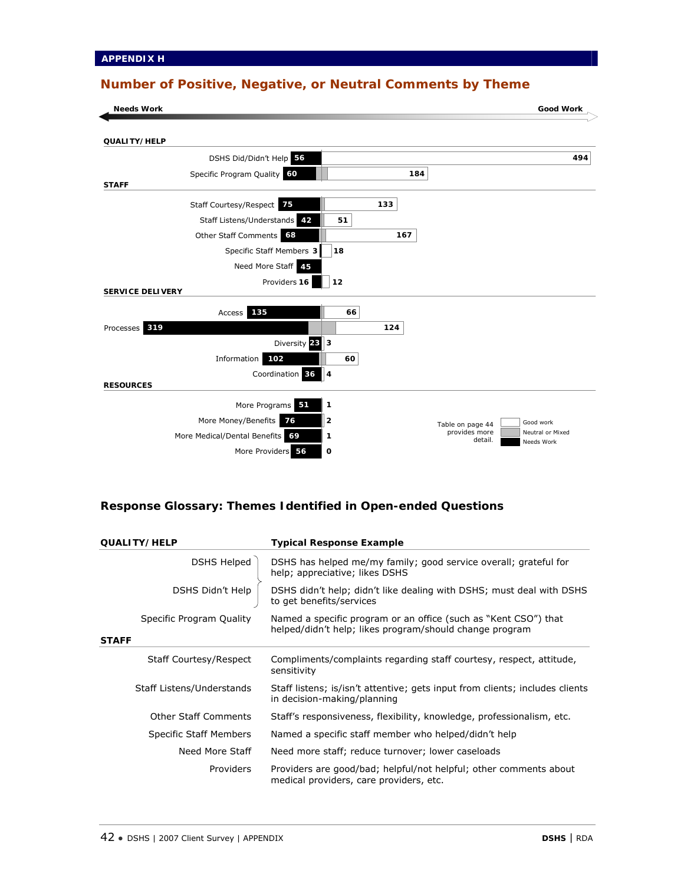## **Number of Positive, Negative, or Neutral Comments by Theme**

| <b>Needs Work</b>                                  |     | <b>Good Work</b>                                           |
|----------------------------------------------------|-----|------------------------------------------------------------|
| QUALITY/HELP                                       |     |                                                            |
| DSHS Did/Didn't Help 56                            |     | 494                                                        |
| Specific Program Quality 60<br><b>STAFF</b>        | 184 |                                                            |
| Staff Courtesy/Respect 75                          | 133 |                                                            |
| Staff Listens/Understands 42<br>51                 |     |                                                            |
| Other Staff Comments 68                            | 167 |                                                            |
| Specific Staff Members 3<br>18                     |     |                                                            |
| Need More Staff 45                                 |     |                                                            |
| Providers 16<br>12<br><b>SERVICE DELIVERY</b>      |     |                                                            |
| 135<br>66<br>Access                                |     |                                                            |
| Processes 319                                      | 124 |                                                            |
| Diversity 28 3                                     |     |                                                            |
| Information<br>102<br>60                           |     |                                                            |
| Coordination 36<br>ll 4<br><b>RESOURCES</b>        |     |                                                            |
| More Programs 51<br>1                              |     |                                                            |
| 2<br>More Money/Benefits<br>76                     |     | Good work<br>Table on page 44                              |
| More Medical/Dental Benefits<br>69<br>$\mathbf{1}$ |     | provides more<br>Neutral or Mixed<br>detail.<br>Needs Work |
| More Providers 56<br>O                             |     |                                                            |

## **Response Glossary: Themes Identified in Open-ended Questions**

| <b>QUALITY/HELP</b>                      | <b>Typical Response Example</b>                                                                                            |
|------------------------------------------|----------------------------------------------------------------------------------------------------------------------------|
| DSHS Helped                              | DSHS has helped me/my family; good service overall; grateful for<br>help; appreciative; likes DSHS                         |
| DSHS Didn't Help                         | DSHS didn't help; didn't like dealing with DSHS; must deal with DSHS<br>to get benefits/services                           |
| Specific Program Quality<br><b>STAFF</b> | Named a specific program or an office (such as "Kent CSO") that<br>helped/didn't help; likes program/should change program |
|                                          |                                                                                                                            |
| Staff Courtesy/Respect                   | Compliments/complaints regarding staff courtesy, respect, attitude,<br>sensitivity                                         |
| Staff Listens/Understands                | Staff listens; is/isn't attentive; gets input from clients; includes clients<br>in decision-making/planning                |
| <b>Other Staff Comments</b>              | Staff's responsiveness, flexibility, knowledge, professionalism, etc.                                                      |
| Specific Staff Members                   | Named a specific staff member who helped/didn't help                                                                       |
| Need More Staff                          | Need more staff; reduce turnover; lower caseloads                                                                          |
| Providers                                | Providers are good/bad; helpful/not helpful; other comments about<br>medical providers, care providers, etc.               |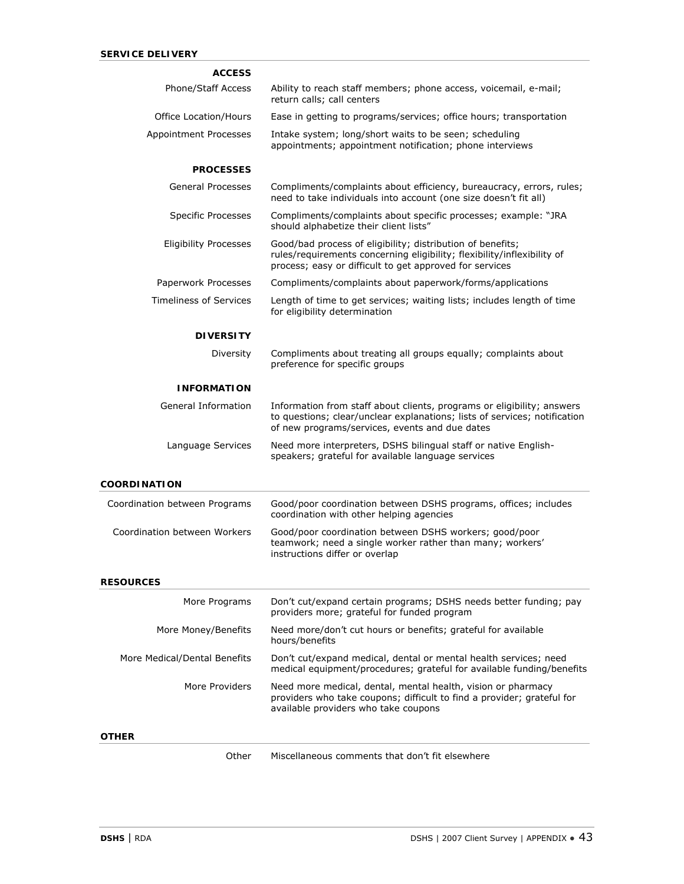| <b>ACCESS</b>                 |                                                                                                                                                                                                       |
|-------------------------------|-------------------------------------------------------------------------------------------------------------------------------------------------------------------------------------------------------|
| Phone/Staff Access            | Ability to reach staff members; phone access, voicemail, e-mail;<br>return calls; call centers                                                                                                        |
| Office Location/Hours         | Ease in getting to programs/services; office hours; transportation                                                                                                                                    |
| Appointment Processes         | Intake system; long/short waits to be seen; scheduling<br>appointments; appointment notification; phone interviews                                                                                    |
| <b>PROCESSES</b>              |                                                                                                                                                                                                       |
| <b>General Processes</b>      | Compliments/complaints about efficiency, bureaucracy, errors, rules;<br>need to take individuals into account (one size doesn't fit all)                                                              |
| <b>Specific Processes</b>     | Compliments/complaints about specific processes; example: "JRA<br>should alphabetize their client lists"                                                                                              |
| <b>Eligibility Processes</b>  | Good/bad process of eligibility; distribution of benefits;<br>rules/requirements concerning eligibility; flexibility/inflexibility of<br>process; easy or difficult to get approved for services      |
| Paperwork Processes           | Compliments/complaints about paperwork/forms/applications                                                                                                                                             |
| <b>Timeliness of Services</b> | Length of time to get services; waiting lists; includes length of time<br>for eligibility determination                                                                                               |
| <b>DIVERSITY</b>              |                                                                                                                                                                                                       |
| Diversity                     | Compliments about treating all groups equally; complaints about<br>preference for specific groups                                                                                                     |
| <b>INFORMATION</b>            |                                                                                                                                                                                                       |
| General Information           | Information from staff about clients, programs or eligibility; answers<br>to questions; clear/unclear explanations; lists of services; notification<br>of new programs/services, events and due dates |
| Language Services             | Need more interpreters, DSHS bilingual staff or native English-<br>speakers; grateful for available language services                                                                                 |
| <b>COORDINATION</b>           |                                                                                                                                                                                                       |
| Coordination between Programs | Good/poor coordination between DSHS programs, offices; includes<br>coordination with other helping agencies                                                                                           |
| Coordination between Workers  | Good/poor coordination between DSHS workers; good/poor<br>teamwork; need a single worker rather than many; workers'<br>instructions differ or overlap                                                 |
| <b>RESOURCES</b>              |                                                                                                                                                                                                       |
| More Programs                 | Don't cut/expand certain programs; DSHS needs better funding; pay<br>providers more; grateful for funded program                                                                                      |
| More Money/Benefits           | Need more/don't cut hours or benefits; grateful for available<br>hours/benefits                                                                                                                       |
| More Medical/Dental Benefits  | Don't cut/expand medical, dental or mental health services; need<br>medical equipment/procedures; grateful for available funding/benefits                                                             |
| More Providers                | Need more medical, dental, mental health, vision or pharmacy<br>providers who take coupons; difficult to find a provider; grateful for<br>available providers who take coupons                        |
| OTHER                         |                                                                                                                                                                                                       |
| Other                         | Miscellaneous comments that don't fit elsewhere                                                                                                                                                       |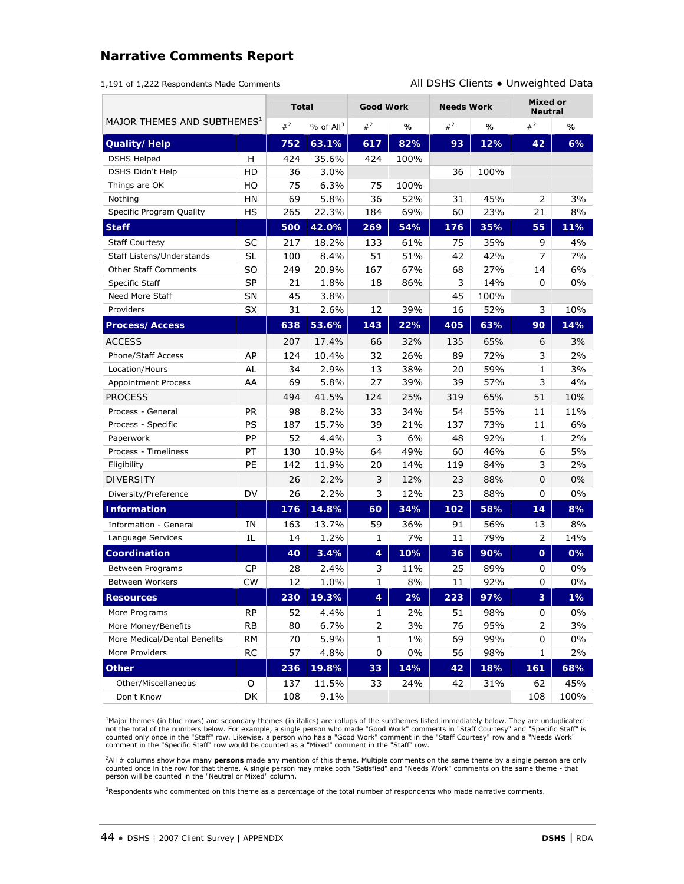## **Narrative Comments Report**

|  | 1,191 of 1,222 Respondents Made Comments |
|--|------------------------------------------|
|--|------------------------------------------|

All DSHS Clients . Unweighted Data

|                                         |                | <b>Total</b> |                         | <b>Good Work</b>           |       | <b>Needs Work</b> |                 | Mixed or<br><b>Neutral</b> |       |
|-----------------------------------------|----------------|--------------|-------------------------|----------------------------|-------|-------------------|-----------------|----------------------------|-------|
| MAJOR THEMES AND SUBTHEMES <sup>1</sup> |                | $#^2$        | $%$ of All <sup>3</sup> | $#^2$                      | ℅     | $#^2$             | ℅               | $#^2$                      | ℅     |
| Quality/Help                            |                | 752          | 63.1%                   | 617                        | 82%   | 93                | 12%             | 42                         | 6%    |
| <b>DSHS Helped</b>                      | H              | 424          | 35.6%                   | 424                        | 100%  |                   |                 |                            |       |
| DSHS Didn't Help                        | HD             | 36           | 3.0%                    |                            |       | 36                | 100%            |                            |       |
| Things are OK                           | HO             | 75           | 6.3%                    | 75                         | 100%  |                   |                 |                            |       |
| Nothing                                 | HN             | 69           | 5.8%                    | 36                         | 52%   | 31                | 45%             | 2                          | 3%    |
| Specific Program Quality                | HS             | 265          | 22.3%                   | 184                        | 69%   | 60                | 23%             | 21                         | 8%    |
| <b>Staff</b>                            |                | 500          | 42.0%                   | 269                        | 54%   | 176               | 35%             | 55                         | 11%   |
| <b>Staff Courtesy</b>                   | SC             | 217          | 18.2%                   | 133                        | 61%   | 75                | 35%             | 9                          | 4%    |
| Staff Listens/Understands               | <b>SL</b>      | 100          | 8.4%                    | 51                         | 51%   | 42                | 42%             | 7                          | 7%    |
| <b>Other Staff Comments</b>             | S <sub>O</sub> | 249          | 20.9%                   | 167                        | 67%   | 68                | 27%             | 14                         | 6%    |
| Specific Staff                          | <b>SP</b>      | 21           | 1.8%                    | 18                         | 86%   | 3                 | 14%             | 0                          | $0\%$ |
| Need More Staff                         | SN             | 45           | 3.8%                    |                            |       | 45                | 100%            |                            |       |
| Providers                               | <b>SX</b>      | 31           | 2.6%                    | 12                         | 39%   | 16                | 52%             | 3                          | 10%   |
| <b>Process/Access</b>                   |                | 638          | 53.6%                   | 143                        | 22%   | 405               | 63%             | 90                         | 14%   |
| <b>ACCESS</b>                           |                | 207          | 17.4%                   | 66                         | 32%   | 135               | 65%             | 6                          | 3%    |
| Phone/Staff Access                      | AP             | 124          | 10.4%                   | 32                         | 26%   | 89                | 72%             | 3                          | 2%    |
| Location/Hours                          | AL             | 34           | 2.9%                    | 13                         | 38%   | 20                | 59%             | 1                          | 3%    |
| <b>Appointment Process</b>              | AA             | 69           | 5.8%                    | 27                         | 39%   | 39                | 57%             | 3                          | 4%    |
| <b>PROCESS</b>                          |                | 494          | 41.5%                   | 124                        | 25%   | 319               | 65%             | 51                         | 10%   |
| Process - General                       | PR             | 98           | 8.2%                    | 33                         | 34%   | 54                | 55%             | 11                         | 11%   |
| Process - Specific                      | PS             | 187          | 15.7%                   | 39                         | 21%   | 137               | 73%             | 11                         | 6%    |
| Paperwork                               | PP             | 52           | 4.4%                    | 3                          | 6%    | 48                | 92%             | 1                          | 2%    |
| Process - Timeliness                    | PT             | 130          | 10.9%                   | 64                         | 49%   | 60                | 46%             | 6                          | 5%    |
| Eligibility                             | PE             | 142          | 11.9%                   | 20                         | 14%   | 119               | 84%             | 3                          | 2%    |
| <b>DIVERSITY</b>                        |                | 26           | 2.2%                    | $\ensuremath{\mathcal{S}}$ | 12%   | 23                | 88%             | 0                          | 0%    |
| Diversity/Preference                    | DV             | 26           | 2.2%                    | 3                          | 12%   | 23                | 88%             | 0                          | $0\%$ |
| <b>Information</b>                      |                | 176          | 14.8%                   | 60                         | 34%   | 102               | 58%             | 14                         | 8%    |
| Information - General                   | ΙN             | 163          | 13.7%                   | 59                         | 36%   | 91                | 56%             | 13                         | 8%    |
| Language Services                       | IL             | 14           | 1.2%                    | $\mathbf{1}$               | 7%    | 11                | 79%             | 2                          | 14%   |
| Coordination                            |                | 40           | 3.4%                    | 4                          | 10%   | 36                | 90%             | $\overline{O}$             | 0%    |
| Between Programs                        | <b>CP</b>      | 28           | 2.4%                    | 3                          | 11%   | 25                | 89%             | 0                          | 0%    |
| Between Workers                         | <b>CW</b>      | 12           | 1.0%                    | 1                          | 8%    | 11                | 92%             | $\mathbf 0$                | 0%    |
| Resources                               |                | 230          | 19.3%                   | 4                          | 2%    | 223               | 97% $\parallel$ | 3                          | $1\%$ |
| More Programs                           | <b>RP</b>      | 52           | 4.4%                    | 1                          | 2%    | 51                | 98%             | 0                          | 0%    |
| More Money/Benefits                     | <b>RB</b>      | 80           | 6.7%                    |                            | 3%    | 76                | 95%             | 2                          | 3%    |
| More Medical/Dental Benefits            | RΜ             | 70           | 5.9%                    | $\mathbf{1}$               | $1\%$ | 69                | 99%             | 0                          | 0%    |
| More Providers                          | <b>RC</b>      | 57           | 4.8%                    | 0                          | $0\%$ | 56                | 98%             | 1                          | 2%    |
| <b>Other</b>                            |                | 236          | 19.8%                   | 33                         | 14%   | 42                | 18%             | 161                        | 68%   |
| Other/Miscellaneous                     | O              | 137          | 11.5%                   | 33                         | 24%   | 42                | 31%             | 62                         | 45%   |
| Don't Know                              | DK             | 108          | 9.1%                    |                            |       |                   |                 | 108                        | 100%  |

<sup>1</sup>Major themes (in blue rows) and secondary themes (in italics) are rollups of the subthemes listed immediately below. They are unduplicated -<br>not the total of the numbers below. For example, a single person who made "Goo

2All # columns show how many **persons** made any mention of this theme. Multiple comments on the same theme by a single person are only counted once in the row for that theme. A single person may make both "Satisfied" and "Needs Work" comments on the same theme - that<br>person will be counted in the "Neutral or Mixed" column.

<sup>3</sup>Respondents who commented on this theme as a percentage of the total number of respondents who made narrative comments.